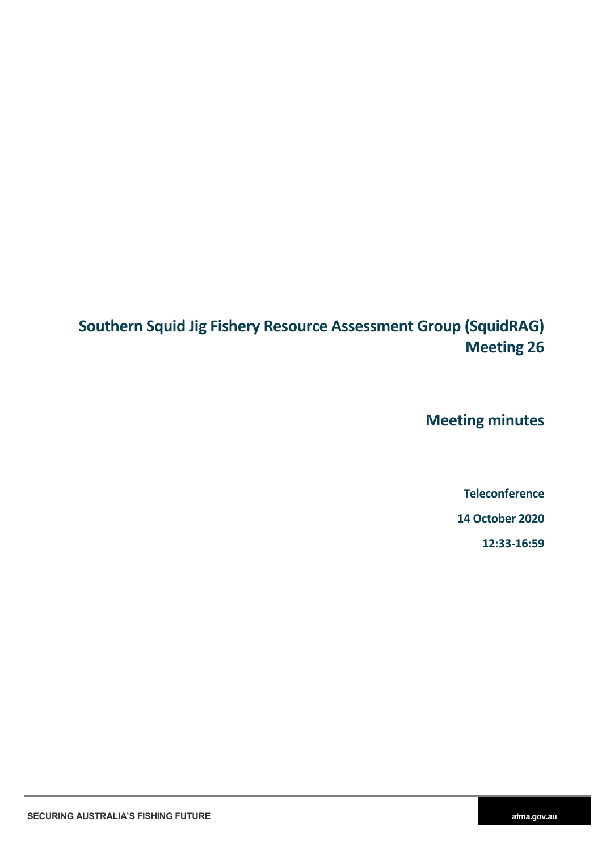# **Southern Squid Jig Fishery Resource Assessment Group (SquidRAG) Meeting 26**

**Meeting minutes**

**Teleconference**

**14 October 2020**

**12:33-16:59**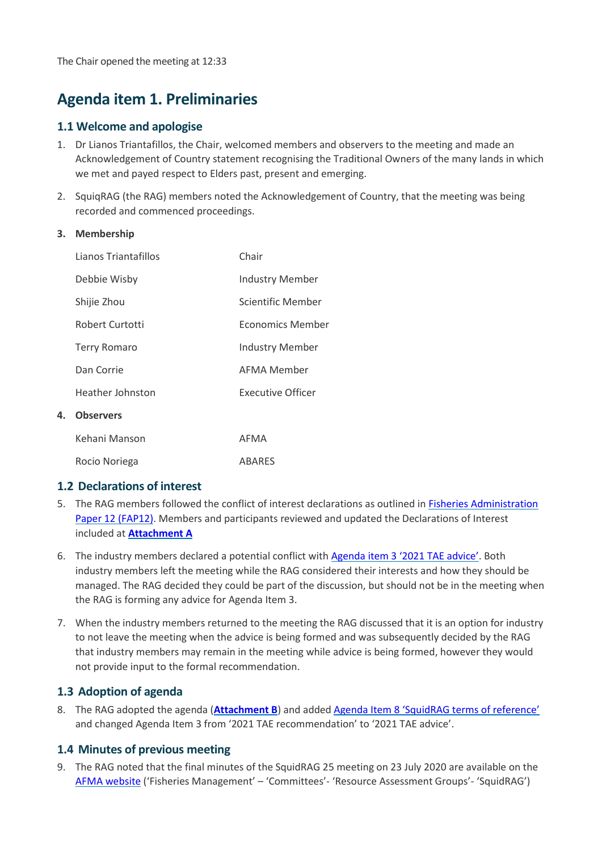## **Agenda item 1. Preliminaries**

#### **1.1 Welcome and apologise**

- 1. Dr Lianos Triantafillos, the Chair, welcomed members and observers to the meeting and made an Acknowledgement of Country statement recognising the Traditional Owners of the many lands in which we met and payed respect to Elders past, present and emerging.
- 2. SquiqRAG (the RAG) members noted the Acknowledgement of Country, that the meeting was being recorded and commenced proceedings.

#### **3. Membership**

**4. Observers**

| Lianos Triantafillos | Chair                    |
|----------------------|--------------------------|
| Debbie Wisby         | Industry Member          |
| Shijie Zhou          | Scientific Member        |
| Robert Curtotti      | Economics Member         |
| <b>Terry Romaro</b>  | Industry Member          |
| Dan Corrie           | AFMA Member              |
| Heather Johnston     | <b>Executive Officer</b> |
| <b>Observers</b>     |                          |
| Kehani Manson        | AFMA                     |
| Rocio Noriega        | <b>ABARES</b>            |

#### **1.2 Declarations of interest**

- 5. The RAG members followed the conflict of interest declarations as outlined in [Fisheries Administration](https://www.afma.gov.au/sites/default/files/fap12_to_reflect_legislative_changes_and_economic_advice_-_october_2018.pdf?acsf_files_redirect)  [Paper 12](https://www.afma.gov.au/sites/default/files/fap12_to_reflect_legislative_changes_and_economic_advice_-_october_2018.pdf?acsf_files_redirect) (FAP12). Members and participants reviewed and updated the Declarations of Interest included at **[Attachment A](#page-15-0)**
- 6. The industry members declared a potential conflict with Agend[a item 3 '2021 TAE advice'](#page-4-0). Both industry members left the meeting while the RAG considered their interests and how they should be managed. The RAG decided they could be part of the discussion, but should not be in the meeting when the RAG is forming any advice for Agenda Item 3.
- 7. When the industry members returned to the meeting the RAG discussed that it is an option for industry to not leave the meeting when the advice is being formed and was subsequently decided by the RAG that industry members may remain in the meeting while advice is being formed, however they would not provide input to the formal recommendation.

### **1.3 Adoption of agenda**

8. The RAG adopted the agenda (**[Attachment B](#page-17-0)**) and added Agenda Item 8 'S[quidRAG terms of reference](#page-2-0)' and changed Agenda Item 3 from '2021 TAE recommendation' to '2021 TAE advice'.

### **1.4 Minutes of previous meeting**

9. The RAG noted that the final minutes of the SquidRAG 25 meeting on 23 July 2020 are available on the [AFMA website](https://www.afma.gov.au/sites/default/files/squidrag_25_-_final_minutes.pdf) ('Fisheries Management' – 'Committees'- 'Resource Assessment Groups'- 'SquidRAG')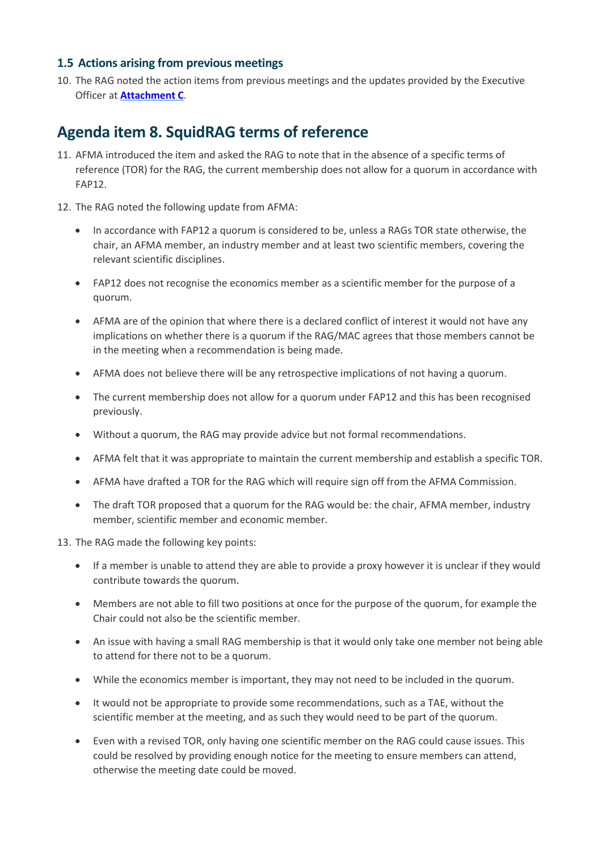### **1.5 Actions arising from previous meetings**

10. The RAG noted the action items from previous meetings and the updates provided by the Executive Officer at **[Attachment C](#page-18-0)**.

## <span id="page-2-0"></span>**Agenda item 8. SquidRAG terms of reference**

- 11. AFMA introduced the item and asked the RAG to note that in the absence of a specific terms of reference (TOR) for the RAG, the current membership does not allow for a quorum in accordance with FAP12.
- 12. The RAG noted the following update from AFMA:
	- In accordance with FAP12 a quorum is considered to be, unless a RAGs TOR state otherwise, the chair, an AFMA member, an industry member and at least two scientific members, covering the relevant scientific disciplines.
	- FAP12 does not recognise the economics member as a scientific member for the purpose of a quorum.
	- AFMA are of the opinion that where there is a declared conflict of interest it would not have any implications on whether there is a quorum if the RAG/MAC agrees that those members cannot be in the meeting when a recommendation is being made.
	- AFMA does not believe there will be any retrospective implications of not having a quorum.
	- The current membership does not allow for a quorum under FAP12 and this has been recognised previously.
	- Without a quorum, the RAG may provide advice but not formal recommendations.
	- AFMA felt that it was appropriate to maintain the current membership and establish a specific TOR.
	- AFMA have drafted a TOR for the RAG which will require sign off from the AFMA Commission.
	- The draft TOR proposed that a quorum for the RAG would be: the chair, AFMA member, industry member, scientific member and economic member.
- 13. The RAG made the following key points:
	- If a member is unable to attend they are able to provide a proxy however it is unclear if they would contribute towards the quorum.
	- Members are not able to fill two positions at once for the purpose of the quorum, for example the Chair could not also be the scientific member.
	- An issue with having a small RAG membership is that it would only take one member not being able to attend for there not to be a quorum.
	- While the economics member is important, they may not need to be included in the quorum.
	- It would not be appropriate to provide some recommendations, such as a TAE, without the scientific member at the meeting, and as such they would need to be part of the quorum.
	- Even with a revised TOR, only having one scientific member on the RAG could cause issues. This could be resolved by providing enough notice for the meeting to ensure members can attend, otherwise the meeting date could be moved.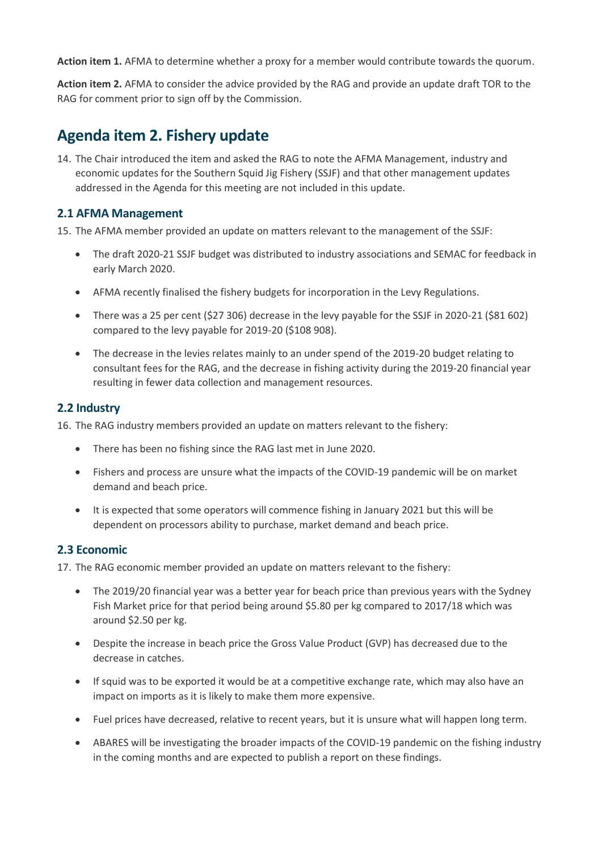**Action item 1.** AFMA to determine whether a proxy for a member would contribute towards the quorum.

**Action item 2.** AFMA to consider the advice provided by the RAG and provide an update draft TOR to the RAG for comment prior to sign off by the Commission.

## **Agenda item 2. Fishery update**

14. The Chair introduced the item and asked the RAG to note the AFMA Management, industry and economic updates for the Southern Squid Jig Fishery (SSJF) and that other management updates addressed in the Agenda for this meeting are not included in this update.

### **2.1 AFMA Management**

15. The AFMA member provided an update on matters relevant to the management of the SSJF:

- The draft 2020-21 SSJF budget was distributed to industry associations and SEMAC for feedback in early March 2020.
- AFMA recently finalised the fishery budgets for incorporation in the Levy Regulations.
- There was a 25 per cent (\$27 306) decrease in the levy payable for the SSJF in 2020-21 (\$81 602) compared to the levy payable for 2019-20 (\$108 908).
- The decrease in the levies relates mainly to an under spend of the 2019-20 budget relating to consultant fees for the RAG, and the decrease in fishing activity during the 2019-20 financial year resulting in fewer data collection and management resources.

### **2.2 Industry**

16. The RAG industry members provided an update on matters relevant to the fishery:

- There has been no fishing since the RAG last met in June 2020.
- Fishers and process are unsure what the impacts of the COVID-19 pandemic will be on market demand and beach price.
- It is expected that some operators will commence fishing in January 2021 but this will be dependent on processors ability to purchase, market demand and beach price.

### **2.3 Economic**

17. The RAG economic member provided an update on matters relevant to the fishery:

- The 2019/20 financial year was a better year for beach price than previous years with the Sydney Fish Market price for that period being around \$5.80 per kg compared to 2017/18 which was around \$2.50 per kg.
- Despite the increase in beach price the Gross Value Product (GVP) has decreased due to the decrease in catches.
- If squid was to be exported it would be at a competitive exchange rate, which may also have an impact on imports as it is likely to make them more expensive.
- Fuel prices have decreased, relative to recent years, but it is unsure what will happen long term.
- ABARES will be investigating the broader impacts of the COVID-19 pandemic on the fishing industry in the coming months and are expected to publish a report on these findings.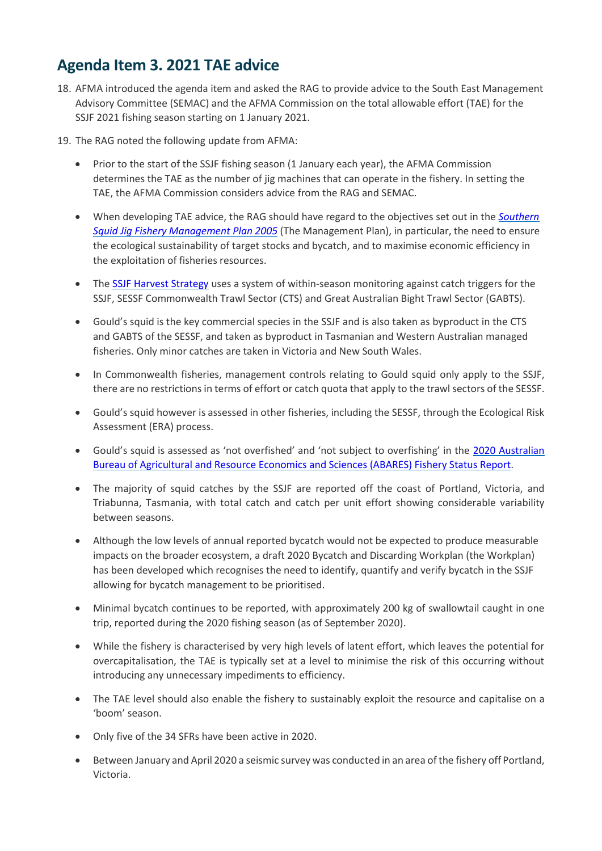## <span id="page-4-0"></span>**Agenda Item 3. 2021 TAE advice**

- 18. AFMA introduced the agenda item and asked the RAG to provide advice to the South East Management Advisory Committee (SEMAC) and the AFMA Commission on the total allowable effort (TAE) for the SSJF 2021 fishing season starting on 1 January 2021.
- 19. The RAG noted the following update from AFMA:
	- Prior to the start of the SSJF fishing season (1 January each year), the AFMA Commission determines the TAE as the number of jig machines that can operate in the fishery. In setting the TAE, the AFMA Commission considers advice from the RAG and SEMAC.
	- When developing TAE advice, the RAG should have regard to the objectives set out in the *[Southern](https://www.legislation.gov.au/Details/F2012C00161)  Squid Jig Fishery [Management Plan 2005](https://www.legislation.gov.au/Details/F2012C00161)* (The Management Plan), in particular, the need to ensure the ecological sustainability of target stocks and bycatch, and to maximise economic efficiency in the exploitation of fisheries resources.
	- The [SSJF Harvest Strategy](https://www.afma.gov.au/sites/default/files/uploads/2014/11/Arrow-Squid-FisheryHS.pdf) uses a system of within-season monitoring against catch triggers for the SSJF, SESSF Commonwealth Trawl Sector (CTS) and Great Australian Bight Trawl Sector (GABTS).
	- Gould's squid is the key commercial species in the SSJF and is also taken as byproduct in the CTS and GABTS of the SESSF, and taken as byproduct in Tasmanian and Western Australian managed fisheries. Only minor catches are taken in Victoria and New South Wales.
	- In Commonwealth fisheries, management controls relating to Gould squid only apply to the SSJF, there are no restrictions in terms of effort or catch quota that apply to the trawl sectors of the SESSF.
	- Gould's squid however is assessed in other fisheries, including the SESSF, through the Ecological Risk Assessment (ERA) process.
	- Gould's squid is assessed as 'not overfished' and 'not subject to overfishing' in the [2020 Australian](https://www.agriculture.gov.au/abares/research-topics/fisheries/fishery-status/southern-squid-jig-fishery)  [Bureau of Agricultural and Resource Economics and Sciences \(ABARES\) Fishery Status Report.](https://www.agriculture.gov.au/abares/research-topics/fisheries/fishery-status/southern-squid-jig-fishery)
	- The majority of squid catches by the SSJF are reported off the coast of Portland, Victoria, and Triabunna, Tasmania, with total catch and catch per unit effort showing considerable variability between seasons.
	- Although the low levels of annual reported bycatch would not be expected to produce measurable impacts on the broader ecosystem, a draft 2020 Bycatch and Discarding Workplan (the Workplan) has been developed which recognises the need to identify, quantify and verify bycatch in the SSJF allowing for bycatch management to be prioritised.
	- Minimal bycatch continues to be reported, with approximately 200 kg of swallowtail caught in one trip, reported during the 2020 fishing season (as of September 2020).
	- While the fishery is characterised by very high levels of latent effort, which leaves the potential for overcapitalisation, the TAE is typically set at a level to minimise the risk of this occurring without introducing any unnecessary impediments to efficiency.
	- The TAE level should also enable the fishery to sustainably exploit the resource and capitalise on a 'boom' season.
	- Only five of the 34 SFRs have been active in 2020.
	- Between January and April 2020 a seismic survey was conducted in an area of the fishery off Portland, Victoria.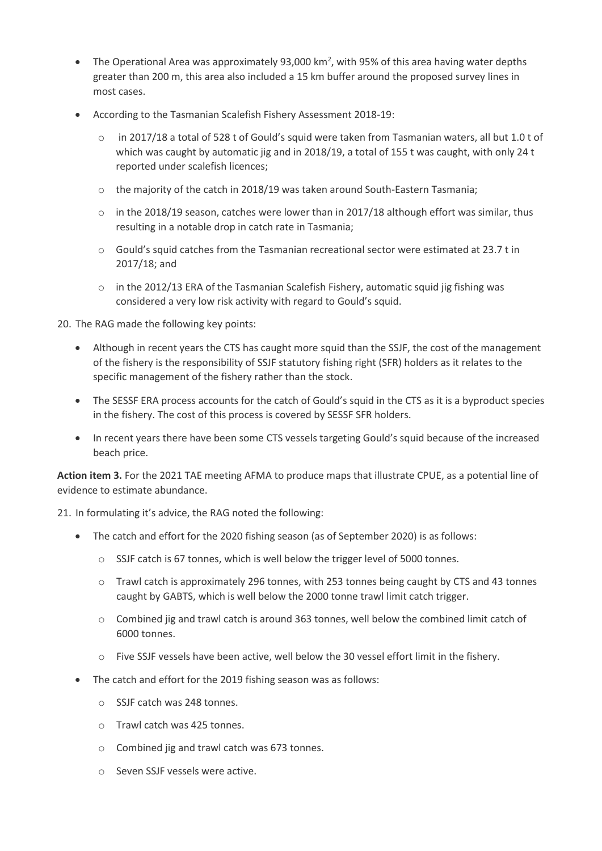- The Operational Area was approximately 93,000 km<sup>2</sup>, with 95% of this area having water depths greater than 200 m, this area also included a 15 km buffer around the proposed survey lines in most cases.
- According to the Tasmanian Scalefish Fishery Assessment 2018-19:
	- o in 2017/18 a total of 528 t of Gould's squid were taken from Tasmanian waters, all but 1.0 t of which was caught by automatic jig and in 2018/19, a total of 155 t was caught, with only 24 t reported under scalefish licences;
	- $\circ$  the majority of the catch in 2018/19 was taken around South-Eastern Tasmania;
	- $\circ$  in the 2018/19 season, catches were lower than in 2017/18 although effort was similar, thus resulting in a notable drop in catch rate in Tasmania;
	- $\circ$  Gould's squid catches from the Tasmanian recreational sector were estimated at 23.7 t in 2017/18; and
	- o in the 2012/13 ERA of the Tasmanian Scalefish Fishery, automatic squid jig fishing was considered a very low risk activity with regard to Gould's squid.

20. The RAG made the following key points:

- Although in recent years the CTS has caught more squid than the SSJF, the cost of the management of the fishery is the responsibility of SSJF statutory fishing right (SFR) holders as it relates to the specific management of the fishery rather than the stock.
- The SESSF ERA process accounts for the catch of Gould's squid in the CTS as it is a byproduct species in the fishery. The cost of this process is covered by SESSF SFR holders.
- In recent years there have been some CTS vessels targeting Gould's squid because of the increased beach price.

**Action item 3.** For the 2021 TAE meeting AFMA to produce maps that illustrate CPUE, as a potential line of evidence to estimate abundance.

21. In formulating it's advice, the RAG noted the following:

- The catch and effort for the 2020 fishing season (as of September 2020) is as follows:
	- $\circ$  SSJF catch is 67 tonnes, which is well below the trigger level of 5000 tonnes.
	- o Trawl catch is approximately 296 tonnes, with 253 tonnes being caught by CTS and 43 tonnes caught by GABTS, which is well below the 2000 tonne trawl limit catch trigger.
	- $\circ$  Combined jig and trawl catch is around 363 tonnes, well below the combined limit catch of 6000 tonnes.
	- o Five SSJF vessels have been active, well below the 30 vessel effort limit in the fishery.
- The catch and effort for the 2019 fishing season was as follows:
	- o SSJF catch was 248 tonnes.
	- o Trawl catch was 425 tonnes.
	- o Combined jig and trawl catch was 673 tonnes.
	- o Seven SSJF vessels were active.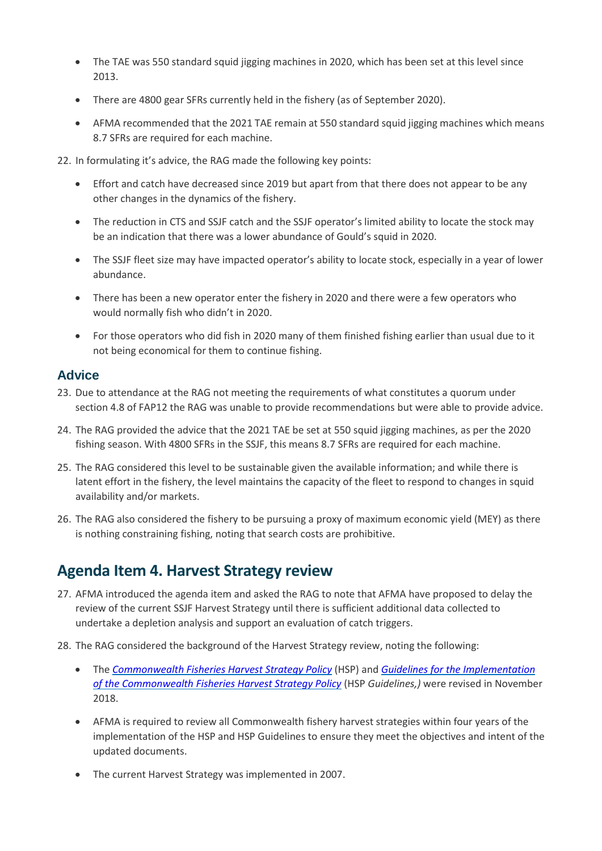- The TAE was 550 standard squid jigging machines in 2020, which has been set at this level since 2013.
- There are 4800 gear SFRs currently held in the fishery (as of September 2020).
- AFMA recommended that the 2021 TAE remain at 550 standard squid jigging machines which means 8.7 SFRs are required for each machine.
- 22. In formulating it's advice, the RAG made the following key points:
	- Effort and catch have decreased since 2019 but apart from that there does not appear to be any other changes in the dynamics of the fishery.
	- The reduction in CTS and SSJF catch and the SSJF operator's limited ability to locate the stock may be an indication that there was a lower abundance of Gould's squid in 2020.
	- The SSJF fleet size may have impacted operator's ability to locate stock, especially in a year of lower abundance.
	- There has been a new operator enter the fishery in 2020 and there were a few operators who would normally fish who didn't in 2020.
	- For those operators who did fish in 2020 many of them finished fishing earlier than usual due to it not being economical for them to continue fishing.

### **Advice**

- 23. Due to attendance at the RAG not meeting the requirements of what constitutes a quorum under section 4.8 of FAP12 the RAG was unable to provide recommendations but were able to provide advice.
- 24. The RAG provided the advice that the 2021 TAE be set at 550 squid jigging machines, as per the 2020 fishing season. With 4800 SFRs in the SSJF, this means 8.7 SFRs are required for each machine.
- 25. The RAG considered this level to be sustainable given the available information; and while there is latent effort in the fishery, the level maintains the capacity of the fleet to respond to changes in squid availability and/or markets.
- 26. The RAG also considered the fishery to be pursuing a proxy of maximum economic yield (MEY) as there is nothing constraining fishing, noting that search costs are prohibitive.

## **Agenda Item 4. Harvest Strategy review**

- 27. AFMA introduced the agenda item and asked the RAG to note that AFMA have proposed to delay the review of the current SSJF Harvest Strategy until there is sufficient additional data collected to undertake a depletion analysis and support an evaluation of catch triggers.
- 28. The RAG considered the background of the Harvest Strategy review, noting the following:
	- The *[Commonwealth Fisheries Harvest Strategy Policy](https://www.agriculture.gov.au/sites/default/files/sitecollectiondocuments/fisheries/domestic/hsp.pdf)* (HSP) and *[Guidelines for the Implementation](https://www.agriculture.gov.au/sites/default/files/sitecollectiondocuments/fisheries/domestic/harvest-strategy-policy-guidelines.pdf)  [of the Commonwealth Fisheries Harvest Strategy Policy](https://www.agriculture.gov.au/sites/default/files/sitecollectiondocuments/fisheries/domestic/harvest-strategy-policy-guidelines.pdf)* (HSP *Guidelines,)* were revised in November 2018.
	- AFMA is required to review all Commonwealth fishery harvest strategies within four years of the implementation of the HSP and HSP Guidelines to ensure they meet the objectives and intent of the updated documents.
	- The current Harvest Strategy was implemented in 2007.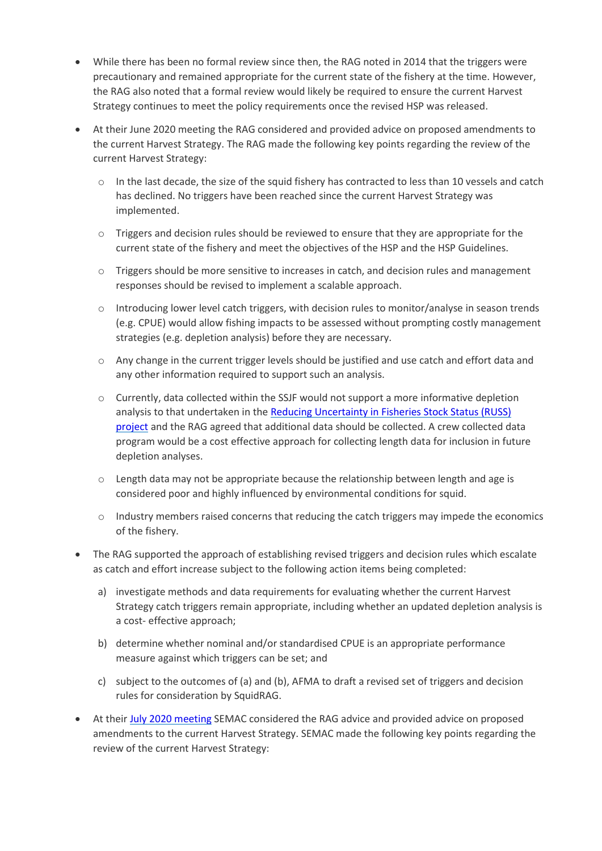- While there has been no formal review since then, the RAG noted in 2014 that the triggers were precautionary and remained appropriate for the current state of the fishery at the time. However, the RAG also noted that a formal review would likely be required to ensure the current Harvest Strategy continues to meet the policy requirements once the revised HSP was released.
- At their June 2020 meeting the RAG considered and provided advice on proposed amendments to the current Harvest Strategy. The RAG made the following key points regarding the review of the current Harvest Strategy:
	- o In the last decade, the size of the squid fishery has contracted to less than 10 vessels and catch has declined. No triggers have been reached since the current Harvest Strategy was implemented.
	- $\circ$  Triggers and decision rules should be reviewed to ensure that they are appropriate for the current state of the fishery and meet the objectives of the HSP and the HSP Guidelines.
	- $\circ$  Triggers should be more sensitive to increases in catch, and decision rules and management responses should be revised to implement a scalable approach.
	- o Introducing lower level catch triggers, with decision rules to monitor/analyse in season trends (e.g. CPUE) would allow fishing impacts to be assessed without prompting costly management strategies (e.g. depletion analysis) before they are necessary.
	- $\circ$  Any change in the current trigger levels should be justified and use catch and effort data and any other information required to support such an analysis.
	- o Currently, data collected within the SSJF would not support a more informative depletion analysis to that undertaken in th[e Reducing Uncertainty in Fisheries Stock Status \(RUSS\)](https://data.gov.au/data/dataset/pb_russd9aam20150911_11a/resource/2e39ce36-c40e-4ae5-8f60-681d4aa8c842/proxy) [project](https://data.gov.au/data/dataset/pb_russd9aam20150911_11a/resource/2e39ce36-c40e-4ae5-8f60-681d4aa8c842/proxy) and the RAG agreed that additional data should be collected. A crew collected data program would be a cost effective approach for collecting length data for inclusion in future depletion analyses.
	- $\circ$  Length data may not be appropriate because the relationship between length and age is considered poor and highly influenced by environmental conditions for squid.
	- $\circ$  Industry members raised concerns that reducing the catch triggers may impede the economics of the fishery.
- The RAG supported the approach of establishing revised triggers and decision rules which escalate as catch and effort increase subject to the following action items being completed:
	- a) investigate methods and data requirements for evaluating whether the current Harvest Strategy catch triggers remain appropriate, including whether an updated depletion analysis is a cost- effective approach;
	- b) determine whether nominal and/or standardised CPUE is an appropriate performance measure against which triggers can be set; and
	- c) subject to the outcomes of (a) and (b), AFMA to draft a revised set of triggers and decision rules for consideration by SquidRAG.
- At thei[r July 2020 meeting](https://www.afma.gov.au/sites/default/files/semac_40_minutes_final_and_signed.pdf) SEMAC considered the RAG advice and provided advice on proposed amendments to the current Harvest Strategy. SEMAC made the following key points regarding the review of the current Harvest Strategy: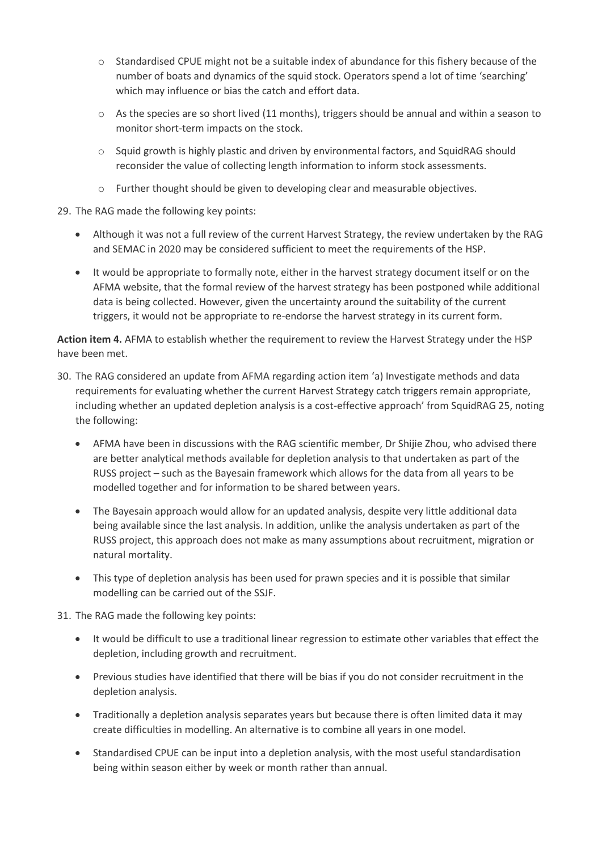- $\circ$  Standardised CPUE might not be a suitable index of abundance for this fishery because of the number of boats and dynamics of the squid stock. Operators spend a lot of time 'searching' which may influence or bias the catch and effort data.
- o As the species are so short lived (11 months), triggers should be annual and within a season to monitor short-term impacts on the stock.
- $\circ$  Squid growth is highly plastic and driven by environmental factors, and SquidRAG should reconsider the value of collecting length information to inform stock assessments.
- o Further thought should be given to developing clear and measurable objectives.

#### 29. The RAG made the following key points:

- Although it was not a full review of the current Harvest Strategy, the review undertaken by the RAG and SEMAC in 2020 may be considered sufficient to meet the requirements of the HSP.
- It would be appropriate to formally note, either in the harvest strategy document itself or on the AFMA website, that the formal review of the harvest strategy has been postponed while additional data is being collected. However, given the uncertainty around the suitability of the current triggers, it would not be appropriate to re-endorse the harvest strategy in its current form.

**Action item 4.** AFMA to establish whether the requirement to review the Harvest Strategy under the HSP have been met.

- 30. The RAG considered an update from AFMA regarding action item 'a) Investigate methods and data requirements for evaluating whether the current Harvest Strategy catch triggers remain appropriate, including whether an updated depletion analysis is a cost-effective approach' from SquidRAG 25, noting the following:
	- AFMA have been in discussions with the RAG scientific member, Dr Shijie Zhou, who advised there are better analytical methods available for depletion analysis to that undertaken as part of the RUSS project – such as the Bayesain framework which allows for the data from all years to be modelled together and for information to be shared between years.
	- The Bayesain approach would allow for an updated analysis, despite very little additional data being available since the last analysis. In addition, unlike the analysis undertaken as part of the RUSS project, this approach does not make as many assumptions about recruitment, migration or natural mortality.
	- This type of depletion analysis has been used for prawn species and it is possible that similar modelling can be carried out of the SSJF.

#### 31. The RAG made the following key points:

- It would be difficult to use a traditional linear regression to estimate other variables that effect the depletion, including growth and recruitment.
- Previous studies have identified that there will be bias if you do not consider recruitment in the depletion analysis.
- Traditionally a depletion analysis separates years but because there is often limited data it may create difficulties in modelling. An alternative is to combine all years in one model.
- Standardised CPUE can be input into a depletion analysis, with the most useful standardisation being within season either by week or month rather than annual.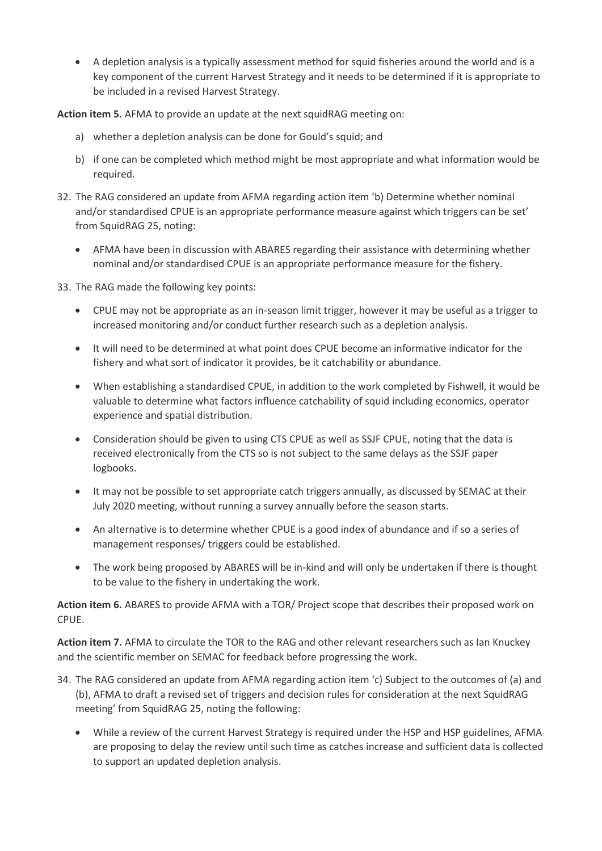A depletion analysis is a typically assessment method for squid fisheries around the world and is a key component of the current Harvest Strategy and it needs to be determined if it is appropriate to be included in a revised Harvest Strategy.

**Action item 5.** AFMA to provide an update at the next squidRAG meeting on:

- a) whether a depletion analysis can be done for Gould's squid; and
- b) if one can be completed which method might be most appropriate and what information would be required.
- 32. The RAG considered an update from AFMA regarding action item 'b) Determine whether nominal and/or standardised CPUE is an appropriate performance measure against which triggers can be set' from SquidRAG 25, noting:
	- AFMA have been in discussion with ABARES regarding their assistance with determining whether nominal and/or standardised CPUE is an appropriate performance measure for the fishery.

33. The RAG made the following key points:

- CPUE may not be appropriate as an in-season limit trigger, however it may be useful as a trigger to increased monitoring and/or conduct further research such as a depletion analysis.
- It will need to be determined at what point does CPUE become an informative indicator for the fishery and what sort of indicator it provides, be it catchability or abundance.
- When establishing a standardised CPUE, in addition to the work completed by Fishwell, it would be valuable to determine what factors influence catchability of squid including economics, operator experience and spatial distribution.
- Consideration should be given to using CTS CPUE as well as SSJF CPUE, noting that the data is received electronically from the CTS so is not subject to the same delays as the SSJF paper logbooks.
- It may not be possible to set appropriate catch triggers annually, as discussed by SEMAC at their July 2020 meeting, without running a survey annually before the season starts.
- An alternative is to determine whether CPUE is a good index of abundance and if so a series of management responses/ triggers could be established.
- The work being proposed by ABARES will be in-kind and will only be undertaken if there is thought to be value to the fishery in undertaking the work.

**Action item 6.** ABARES to provide AFMA with a TOR/ Project scope that describes their proposed work on CPUE.

**Action item 7.** AFMA to circulate the TOR to the RAG and other relevant researchers such as Ian Knuckey and the scientific member on SEMAC for feedback before progressing the work.

- 34. The RAG considered an update from AFMA regarding action item 'c) Subject to the outcomes of (a) and (b), AFMA to draft a revised set of triggers and decision rules for consideration at the next SquidRAG meeting' from SquidRAG 25, noting the following:
	- While a review of the current Harvest Strategy is required under the HSP and HSP guidelines, AFMA are proposing to delay the review until such time as catches increase and sufficient data is collected to support an updated depletion analysis.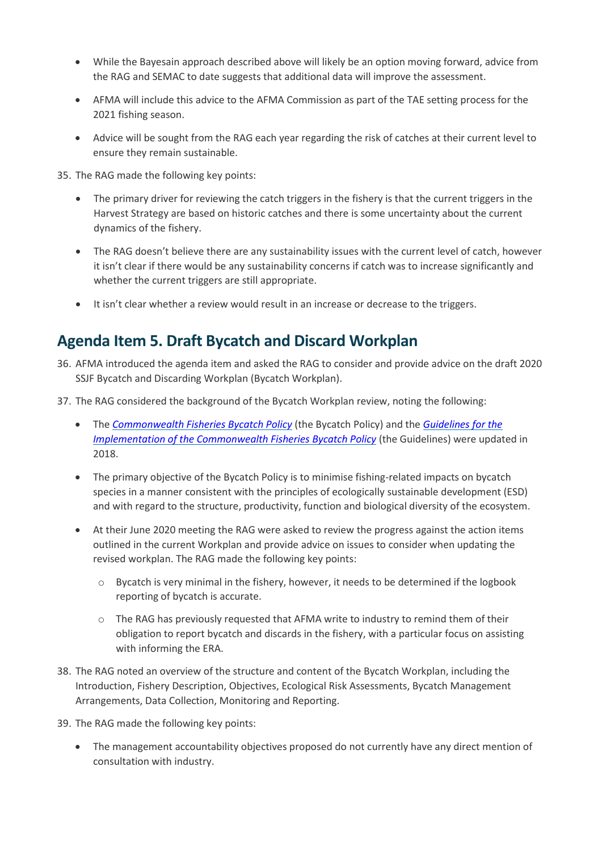- While the Bayesain approach described above will likely be an option moving forward, advice from the RAG and SEMAC to date suggests that additional data will improve the assessment.
- AFMA will include this advice to the AFMA Commission as part of the TAE setting process for the 2021 fishing season.
- Advice will be sought from the RAG each year regarding the risk of catches at their current level to ensure they remain sustainable.

35. The RAG made the following key points:

- The primary driver for reviewing the catch triggers in the fishery is that the current triggers in the Harvest Strategy are based on historic catches and there is some uncertainty about the current dynamics of the fishery.
- The RAG doesn't believe there are any sustainability issues with the current level of catch, however it isn't clear if there would be any sustainability concerns if catch was to increase significantly and whether the current triggers are still appropriate.
- It isn't clear whether a review would result in an increase or decrease to the triggers.

## **Agenda Item 5. Draft Bycatch and Discard Workplan**

- 36. AFMA introduced the agenda item and asked the RAG to consider and provide advice on the draft 2020 SSJF Bycatch and Discarding Workplan (Bycatch Workplan).
- 37. The RAG considered the background of the Bycatch Workplan review, noting the following:
	- The *[Commonwealth Fisheries Bycatch Policy](https://www.agriculture.gov.au/sites/default/files/sitecollectiondocuments/fisheries/environment/bycatch/bycatch.pdf)* (the Bycatch Policy) and the *[Guidelines for the](https://www.agriculture.gov.au/sites/default/files/sitecollectiondocuments/fisheries/environment/bycatch/bycatch-guidelines.pdf)  [Implementation of the Commonwealth Fisheries Bycatch Policy](https://www.agriculture.gov.au/sites/default/files/sitecollectiondocuments/fisheries/environment/bycatch/bycatch-guidelines.pdf)* (the Guidelines) were updated in 2018.
	- The primary objective of the Bycatch Policy is to minimise fishing-related impacts on bycatch species in a manner consistent with the principles of ecologically sustainable development (ESD) and with regard to the structure, productivity, function and biological diversity of the ecosystem.
	- At their June 2020 meeting the RAG were asked to review the progress against the action items outlined in the current Workplan and provide advice on issues to consider when updating the revised workplan. The RAG made the following key points:
		- o Bycatch is very minimal in the fishery, however, it needs to be determined if the logbook reporting of bycatch is accurate.
		- o The RAG has previously requested that AFMA write to industry to remind them of their obligation to report bycatch and discards in the fishery, with a particular focus on assisting with informing the ERA.
- 38. The RAG noted an overview of the structure and content of the Bycatch Workplan, including the Introduction, Fishery Description, Objectives, Ecological Risk Assessments, Bycatch Management Arrangements, Data Collection, Monitoring and Reporting.
- 39. The RAG made the following key points:
	- The management accountability objectives proposed do not currently have any direct mention of consultation with industry.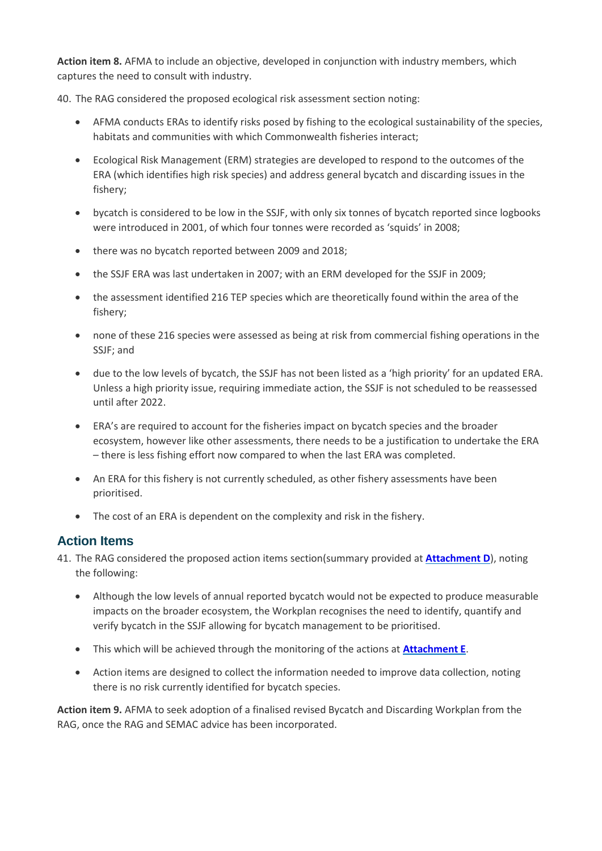**Action item 8.** AFMA to include an objective, developed in conjunction with industry members, which captures the need to consult with industry.

40. The RAG considered the proposed ecological risk assessment section noting:

- AFMA conducts ERAs to identify risks posed by fishing to the ecological sustainability of the species, habitats and communities with which Commonwealth fisheries interact;
- Ecological Risk Management (ERM) strategies are developed to respond to the outcomes of the ERA (which identifies high risk species) and address general bycatch and discarding issues in the fishery;
- bycatch is considered to be low in the SSJF, with only six tonnes of bycatch reported since logbooks were introduced in 2001, of which four tonnes were recorded as 'squids' in 2008;
- there was no bycatch reported between 2009 and 2018;
- the SSJF ERA was last undertaken in 2007; with an ERM developed for the SSJF in 2009;
- the assessment identified 216 TEP species which are theoretically found within the area of the fishery;
- none of these 216 species were assessed as being at risk from commercial fishing operations in the SSJF; and
- due to the low levels of bycatch, the SSJF has not been listed as a 'high priority' for an updated ERA. Unless a high priority issue, requiring immediate action, the SSJF is not scheduled to be reassessed until after 2022.
- ERA's are required to account for the fisheries impact on bycatch species and the broader ecosystem, however like other assessments, there needs to be a justification to undertake the ERA – there is less fishing effort now compared to when the last ERA was completed.
- An ERA for this fishery is not currently scheduled, as other fishery assessments have been prioritised.
- The cost of an ERA is dependent on the complexity and risk in the fishery.

## **Action Items**

- 41. The RAG considered the proposed action items section(summary provided at **[Attachment D](#page-22-0)**), noting the following:
	- Although the low levels of annual reported bycatch would not be expected to produce measurable impacts on the broader ecosystem, the Workplan recognises the need to identify, quantify and verify bycatch in the SSJF allowing for bycatch management to be prioritised.
	- This which will be achieved through the monitoring of the actions at **[Attachment E](#page-23-0)**.
	- Action items are designed to collect the information needed to improve data collection, noting there is no risk currently identified for bycatch species.

**Action item 9.** AFMA to seek adoption of a finalised revised Bycatch and Discarding Workplan from the RAG, once the RAG and SEMAC advice has been incorporated.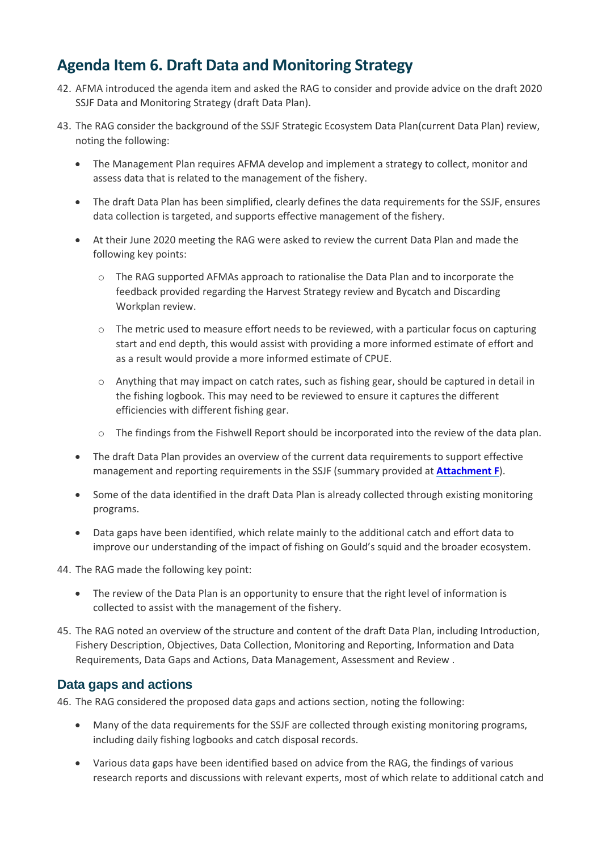## **Agenda Item 6. Draft Data and Monitoring Strategy**

- 42. AFMA introduced the agenda item and asked the RAG to consider and provide advice on the draft 2020 SSJF Data and Monitoring Strategy (draft Data Plan).
- 43. The RAG consider the background of the SSJF Strategic Ecosystem Data Plan(current Data Plan) review, noting the following:
	- The Management Plan requires AFMA develop and implement a strategy to collect, monitor and assess data that is related to the management of the fishery.
	- The draft Data Plan has been simplified, clearly defines the data requirements for the SSJF, ensures data collection is targeted, and supports effective management of the fishery.
	- At their June 2020 meeting the RAG were asked to review the current Data Plan and made the following key points:
		- o The RAG supported AFMAs approach to rationalise the Data Plan and to incorporate the feedback provided regarding the Harvest Strategy review and Bycatch and Discarding Workplan review.
		- $\circ$  The metric used to measure effort needs to be reviewed, with a particular focus on capturing start and end depth, this would assist with providing a more informed estimate of effort and as a result would provide a more informed estimate of CPUE.
		- $\circ$  Anything that may impact on catch rates, such as fishing gear, should be captured in detail in the fishing logbook. This may need to be reviewed to ensure it captures the different efficiencies with different fishing gear.
		- o The findings from the Fishwell Report should be incorporated into the review of the data plan.
	- The draft Data Plan provides an overview of the current data requirements to support effective management and reporting requirements in the SSJF (summary provided at **[Attachment F](#page-25-0)**).
	- Some of the data identified in the draft Data Plan is already collected through existing monitoring programs.
	- Data gaps have been identified, which relate mainly to the additional catch and effort data to improve our understanding of the impact of fishing on Gould's squid and the broader ecosystem.

44. The RAG made the following key point:

- The review of the Data Plan is an opportunity to ensure that the right level of information is collected to assist with the management of the fishery.
- 45. The RAG noted an overview of the structure and content of the draft Data Plan, including Introduction, Fishery Description, Objectives, Data Collection, Monitoring and Reporting, Information and Data Requirements, Data Gaps and Actions, Data Management, Assessment and Review .

## **Data gaps and actions**

46. The RAG considered the proposed data gaps and actions section, noting the following:

- Many of the data requirements for the SSJF are collected through existing monitoring programs, including daily fishing logbooks and catch disposal records.
- Various data gaps have been identified based on advice from the RAG, the findings of various research reports and discussions with relevant experts, most of which relate to additional catch and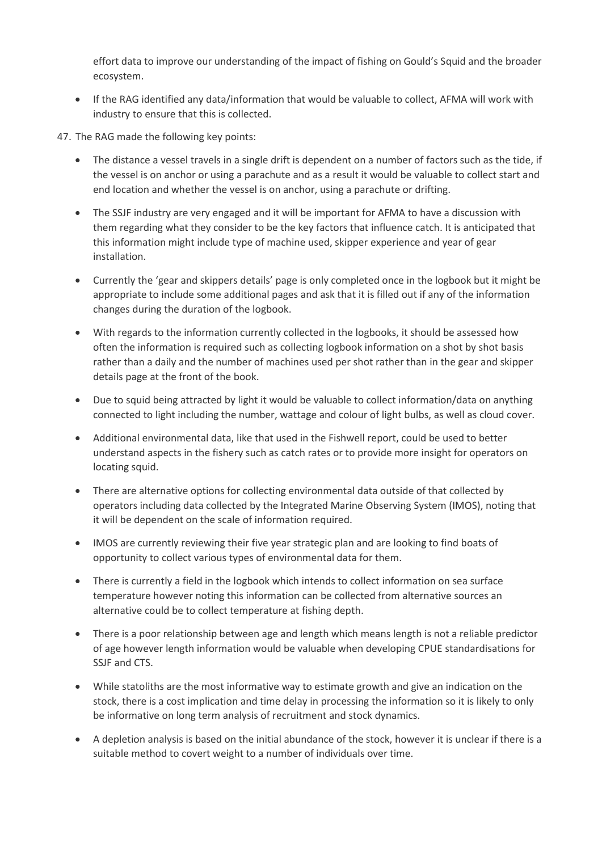effort data to improve our understanding of the impact of fishing on Gould's Squid and the broader ecosystem.

- If the RAG identified any data/information that would be valuable to collect, AFMA will work with industry to ensure that this is collected.
- 47. The RAG made the following key points:
	- The distance a vessel travels in a single drift is dependent on a number of factors such as the tide, if the vessel is on anchor or using a parachute and as a result it would be valuable to collect start and end location and whether the vessel is on anchor, using a parachute or drifting.
	- The SSJF industry are very engaged and it will be important for AFMA to have a discussion with them regarding what they consider to be the key factors that influence catch. It is anticipated that this information might include type of machine used, skipper experience and year of gear installation.
	- Currently the 'gear and skippers details' page is only completed once in the logbook but it might be appropriate to include some additional pages and ask that it is filled out if any of the information changes during the duration of the logbook.
	- With regards to the information currently collected in the logbooks, it should be assessed how often the information is required such as collecting logbook information on a shot by shot basis rather than a daily and the number of machines used per shot rather than in the gear and skipper details page at the front of the book.
	- Due to squid being attracted by light it would be valuable to collect information/data on anything connected to light including the number, wattage and colour of light bulbs, as well as cloud cover.
	- Additional environmental data, like that used in the Fishwell report, could be used to better understand aspects in the fishery such as catch rates or to provide more insight for operators on locating squid.
	- There are alternative options for collecting environmental data outside of that collected by operators including data collected by the Integrated Marine Observing System (IMOS), noting that it will be dependent on the scale of information required.
	- IMOS are currently reviewing their five year strategic plan and are looking to find boats of opportunity to collect various types of environmental data for them.
	- There is currently a field in the logbook which intends to collect information on sea surface temperature however noting this information can be collected from alternative sources an alternative could be to collect temperature at fishing depth.
	- There is a poor relationship between age and length which means length is not a reliable predictor of age however length information would be valuable when developing CPUE standardisations for SSJF and CTS.
	- While statoliths are the most informative way to estimate growth and give an indication on the stock, there is a cost implication and time delay in processing the information so it is likely to only be informative on long term analysis of recruitment and stock dynamics.
	- A depletion analysis is based on the initial abundance of the stock, however it is unclear if there is a suitable method to covert weight to a number of individuals over time.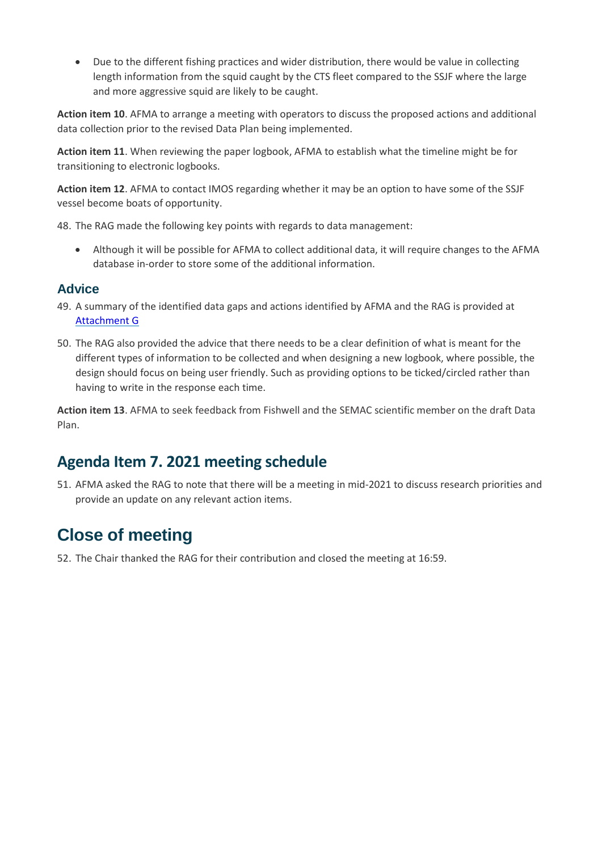Due to the different fishing practices and wider distribution, there would be value in collecting length information from the squid caught by the CTS fleet compared to the SSJF where the large and more aggressive squid are likely to be caught.

**Action item 10**. AFMA to arrange a meeting with operators to discuss the proposed actions and additional data collection prior to the revised Data Plan being implemented.

**Action item 11**. When reviewing the paper logbook, AFMA to establish what the timeline might be for transitioning to electronic logbooks.

**Action item 12**. AFMA to contact IMOS regarding whether it may be an option to have some of the SSJF vessel become boats of opportunity.

48. The RAG made the following key points with regards to data management:

 Although it will be possible for AFMA to collect additional data, it will require changes to the AFMA database in-order to store some of the additional information.

### **Advice**

- 49. A summary of the identified data gaps and actions identified by AFMA and the RAG is provided at [Attachment G](#page-26-0)
- 50. The RAG also provided the advice that there needs to be a clear definition of what is meant for the different types of information to be collected and when designing a new logbook, where possible, the design should focus on being user friendly. Such as providing options to be ticked/circled rather than having to write in the response each time.

**Action item 13**. AFMA to seek feedback from Fishwell and the SEMAC scientific member on the draft Data Plan.

## **Agenda Item 7. 2021 meeting schedule**

51. AFMA asked the RAG to note that there will be a meeting in mid-2021 to discuss research priorities and provide an update on any relevant action items.

# **Close of meeting**

52. The Chair thanked the RAG for their contribution and closed the meeting at 16:59.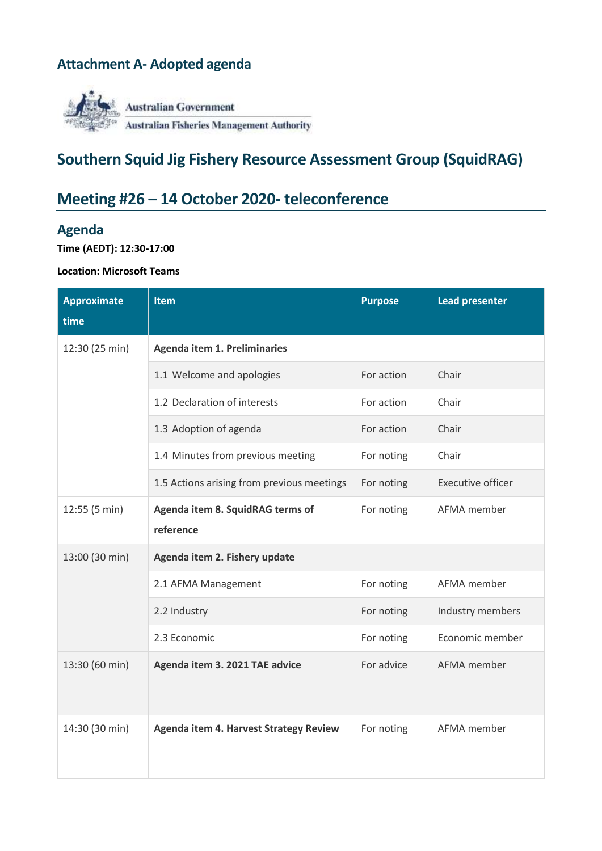## <span id="page-15-0"></span>**Attachment A- Adopted agenda**



## **Southern Squid Jig Fishery Resource Assessment Group (SquidRAG)**

# **Meeting #26 – 14 October 2020- teleconference**

## **Agenda**

**Time (AEDT): 12:30-17:00**

## **Location: Microsoft Teams**

| <b>Approximate</b><br>time | <b>Item</b>                                   | <b>Purpose</b> | <b>Lead presenter</b>    |  |  |  |
|----------------------------|-----------------------------------------------|----------------|--------------------------|--|--|--|
| 12:30 (25 min)             | <b>Agenda item 1. Preliminaries</b>           |                |                          |  |  |  |
|                            | 1.1 Welcome and apologies                     | For action     | Chair                    |  |  |  |
|                            | 1.2 Declaration of interests                  | For action     | Chair                    |  |  |  |
|                            | 1.3 Adoption of agenda                        | For action     | Chair                    |  |  |  |
|                            | 1.4 Minutes from previous meeting             | For noting     | Chair                    |  |  |  |
|                            | 1.5 Actions arising from previous meetings    | For noting     | <b>Executive officer</b> |  |  |  |
| 12:55 (5 min)              | Agenda item 8. SquidRAG terms of<br>reference | For noting     | AFMA member              |  |  |  |
| 13:00 (30 min)             | Agenda item 2. Fishery update                 |                |                          |  |  |  |
|                            | 2.1 AFMA Management                           | For noting     | AFMA member              |  |  |  |
|                            | 2.2 Industry                                  | For noting     | Industry members         |  |  |  |
|                            | 2.3 Economic                                  | For noting     | Economic member          |  |  |  |
| 13:30 (60 min)             | Agenda item 3. 2021 TAE advice                | For advice     | AFMA member              |  |  |  |
| 14:30 (30 min)             | <b>Agenda item 4. Harvest Strategy Review</b> | For noting     | AFMA member              |  |  |  |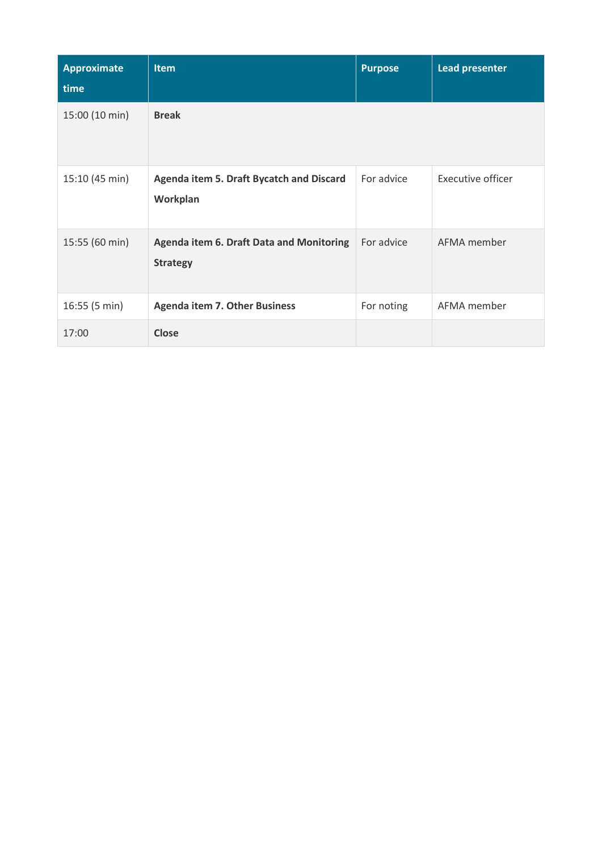| <b>Approximate</b><br>time | <b>Item</b>                                                        | <b>Purpose</b> | <b>Lead presenter</b> |
|----------------------------|--------------------------------------------------------------------|----------------|-----------------------|
| 15:00 (10 min)             | <b>Break</b>                                                       |                |                       |
| 15:10 (45 min)             | Agenda item 5. Draft Bycatch and Discard<br>Workplan               | For advice     | Executive officer     |
| 15:55 (60 min)             | <b>Agenda item 6. Draft Data and Monitoring</b><br><b>Strategy</b> | For advice     | AFMA member           |
| 16:55(5 min)               | <b>Agenda item 7. Other Business</b>                               | For noting     | AFMA member           |
| 17:00                      | <b>Close</b>                                                       |                |                       |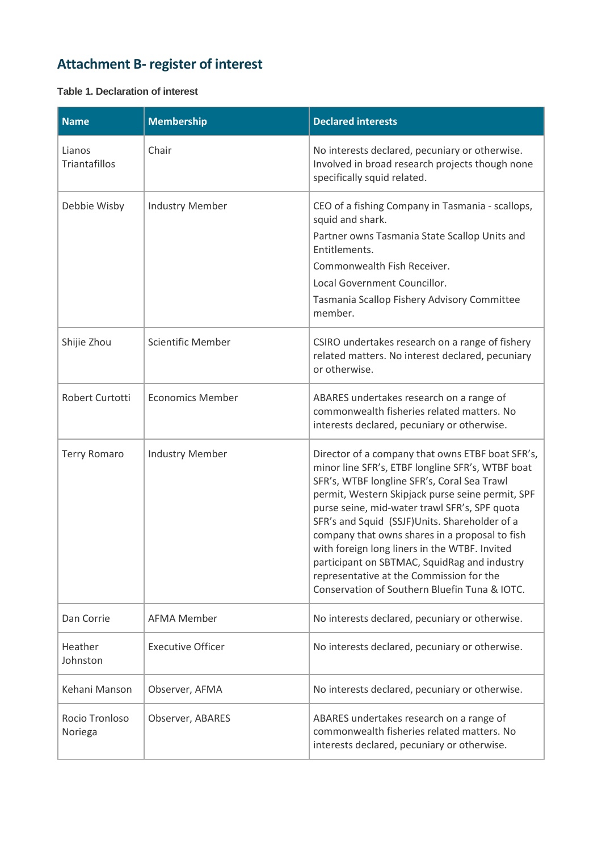# <span id="page-17-0"></span>**Attachment B- register of interest**

## **Table 1. Declaration of interest**

| <b>Name</b>               | <b>Membership</b>        | <b>Declared interests</b>                                                                                                                                                                                                                                                                                                                                                                                                                                                                                                                                 |
|---------------------------|--------------------------|-----------------------------------------------------------------------------------------------------------------------------------------------------------------------------------------------------------------------------------------------------------------------------------------------------------------------------------------------------------------------------------------------------------------------------------------------------------------------------------------------------------------------------------------------------------|
| Lianos<br>Triantafillos   | Chair                    | No interests declared, pecuniary or otherwise.<br>Involved in broad research projects though none<br>specifically squid related.                                                                                                                                                                                                                                                                                                                                                                                                                          |
| Debbie Wisby              | <b>Industry Member</b>   | CEO of a fishing Company in Tasmania - scallops,<br>squid and shark.<br>Partner owns Tasmania State Scallop Units and<br>Entitlements.<br>Commonwealth Fish Receiver.<br>Local Government Councillor.<br>Tasmania Scallop Fishery Advisory Committee<br>member.                                                                                                                                                                                                                                                                                           |
| Shijie Zhou               | <b>Scientific Member</b> | CSIRO undertakes research on a range of fishery<br>related matters. No interest declared, pecuniary<br>or otherwise.                                                                                                                                                                                                                                                                                                                                                                                                                                      |
| Robert Curtotti           | <b>Economics Member</b>  | ABARES undertakes research on a range of<br>commonwealth fisheries related matters. No<br>interests declared, pecuniary or otherwise.                                                                                                                                                                                                                                                                                                                                                                                                                     |
| <b>Terry Romaro</b>       | <b>Industry Member</b>   | Director of a company that owns ETBF boat SFR's,<br>minor line SFR's, ETBF longline SFR's, WTBF boat<br>SFR's, WTBF longline SFR's, Coral Sea Trawl<br>permit, Western Skipjack purse seine permit, SPF<br>purse seine, mid-water trawl SFR's, SPF quota<br>SFR's and Squid (SSJF)Units. Shareholder of a<br>company that owns shares in a proposal to fish<br>with foreign long liners in the WTBF. Invited<br>participant on SBTMAC, SquidRag and industry<br>representative at the Commission for the<br>Conservation of Southern Bluefin Tuna & IOTC. |
| Dan Corrie                | <b>AFMA Member</b>       | No interests declared, pecuniary or otherwise.                                                                                                                                                                                                                                                                                                                                                                                                                                                                                                            |
| Heather<br>Johnston       | <b>Executive Officer</b> | No interests declared, pecuniary or otherwise.                                                                                                                                                                                                                                                                                                                                                                                                                                                                                                            |
| Kehani Manson             | Observer, AFMA           | No interests declared, pecuniary or otherwise.                                                                                                                                                                                                                                                                                                                                                                                                                                                                                                            |
| Rocio Tronloso<br>Noriega | Observer, ABARES         | ABARES undertakes research on a range of<br>commonwealth fisheries related matters. No<br>interests declared, pecuniary or otherwise.                                                                                                                                                                                                                                                                                                                                                                                                                     |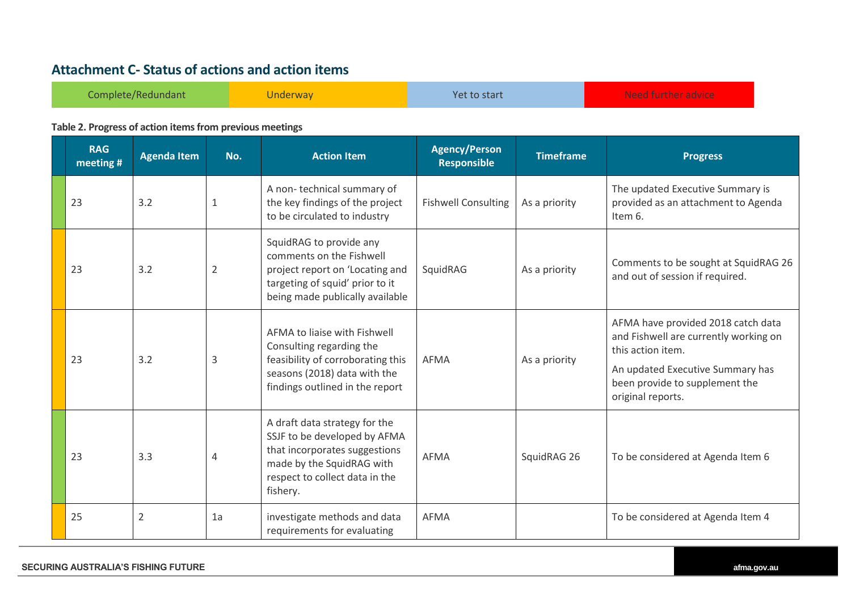## **Attachment C- Status of actions and action items**

| Complete/Redundant | Underway <sup>'</sup> | Yet to start | Algoed Constance and Good<br><b>The editor contribution of the contribution of the contribution</b> |
|--------------------|-----------------------|--------------|-----------------------------------------------------------------------------------------------------|
|--------------------|-----------------------|--------------|-----------------------------------------------------------------------------------------------------|

### **Table 2. Progress of action items from previous meetings**

<span id="page-18-0"></span>

| <b>RAG</b><br>meeting # | <b>Agenda Item</b> | No.            | <b>Action Item</b>                                                                                                                                                        | <b>Agency/Person</b><br><b>Responsible</b> | <b>Timeframe</b> | <b>Progress</b>                                                                                                                                                                             |
|-------------------------|--------------------|----------------|---------------------------------------------------------------------------------------------------------------------------------------------------------------------------|--------------------------------------------|------------------|---------------------------------------------------------------------------------------------------------------------------------------------------------------------------------------------|
| 23                      | 3.2                | 1              | A non-technical summary of<br>the key findings of the project<br>to be circulated to industry                                                                             | <b>Fishwell Consulting</b>                 | As a priority    | The updated Executive Summary is<br>provided as an attachment to Agenda<br>Item 6.                                                                                                          |
| 23                      | 3.2                | $\overline{2}$ | SquidRAG to provide any<br>comments on the Fishwell<br>project report on 'Locating and<br>targeting of squid' prior to it<br>being made publically available              | SquidRAG<br>As a priority                  |                  | Comments to be sought at SquidRAG 26<br>and out of session if required.                                                                                                                     |
| 23                      | 3.2                | 3              | AFMA to liaise with Fishwell<br>Consulting regarding the<br>feasibility of corroborating this<br>seasons (2018) data with the<br>findings outlined in the report          | <b>AFMA</b>                                | As a priority    | AFMA have provided 2018 catch data<br>and Fishwell are currently working on<br>this action item.<br>An updated Executive Summary has<br>been provide to supplement the<br>original reports. |
| 23                      | 3.3                | $\overline{4}$ | A draft data strategy for the<br>SSJF to be developed by AFMA<br>that incorporates suggestions<br>made by the SquidRAG with<br>respect to collect data in the<br>fishery. | <b>AFMA</b>                                | SquidRAG 26      | To be considered at Agenda Item 6                                                                                                                                                           |
| 25                      | $\overline{2}$     | 1a             | investigate methods and data<br>requirements for evaluating                                                                                                               | <b>AFMA</b>                                |                  | To be considered at Agenda Item 4                                                                                                                                                           |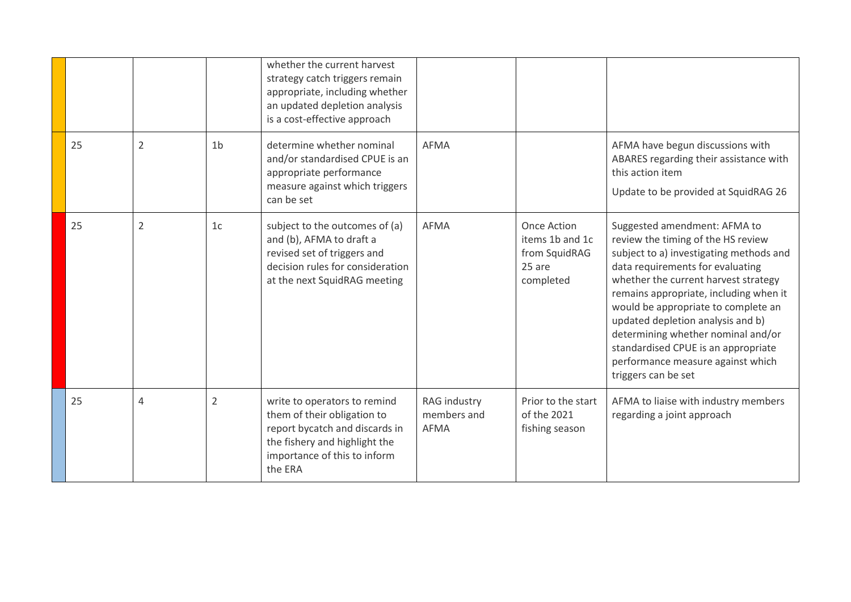|    |                |                | whether the current harvest<br>strategy catch triggers remain<br>appropriate, including whether<br>an updated depletion analysis<br>is a cost-effective approach          |                                     |                                                                               |                                                                                                                                                                                                                                                                                                                                                                                                                                                          |
|----|----------------|----------------|---------------------------------------------------------------------------------------------------------------------------------------------------------------------------|-------------------------------------|-------------------------------------------------------------------------------|----------------------------------------------------------------------------------------------------------------------------------------------------------------------------------------------------------------------------------------------------------------------------------------------------------------------------------------------------------------------------------------------------------------------------------------------------------|
| 25 | $\overline{2}$ | 1 <sub>b</sub> | determine whether nominal<br>and/or standardised CPUE is an<br>appropriate performance<br>measure against which triggers<br>can be set                                    | <b>AFMA</b>                         |                                                                               | AFMA have begun discussions with<br>ABARES regarding their assistance with<br>this action item<br>Update to be provided at SquidRAG 26                                                                                                                                                                                                                                                                                                                   |
| 25 | $\overline{2}$ | 1 <sub>c</sub> | subject to the outcomes of (a)<br>and (b), AFMA to draft a<br>revised set of triggers and<br>decision rules for consideration<br>at the next SquidRAG meeting             | <b>AFMA</b>                         | <b>Once Action</b><br>items 1b and 1c<br>from SquidRAG<br>25 are<br>completed | Suggested amendment: AFMA to<br>review the timing of the HS review<br>subject to a) investigating methods and<br>data requirements for evaluating<br>whether the current harvest strategy<br>remains appropriate, including when it<br>would be appropriate to complete an<br>updated depletion analysis and b)<br>determining whether nominal and/or<br>standardised CPUE is an appropriate<br>performance measure against which<br>triggers can be set |
| 25 | $\overline{4}$ | $\overline{2}$ | write to operators to remind<br>them of their obligation to<br>report bycatch and discards in<br>the fishery and highlight the<br>importance of this to inform<br>the ERA | RAG industry<br>members and<br>AFMA | Prior to the start<br>of the 2021<br>fishing season                           | AFMA to liaise with industry members<br>regarding a joint approach                                                                                                                                                                                                                                                                                                                                                                                       |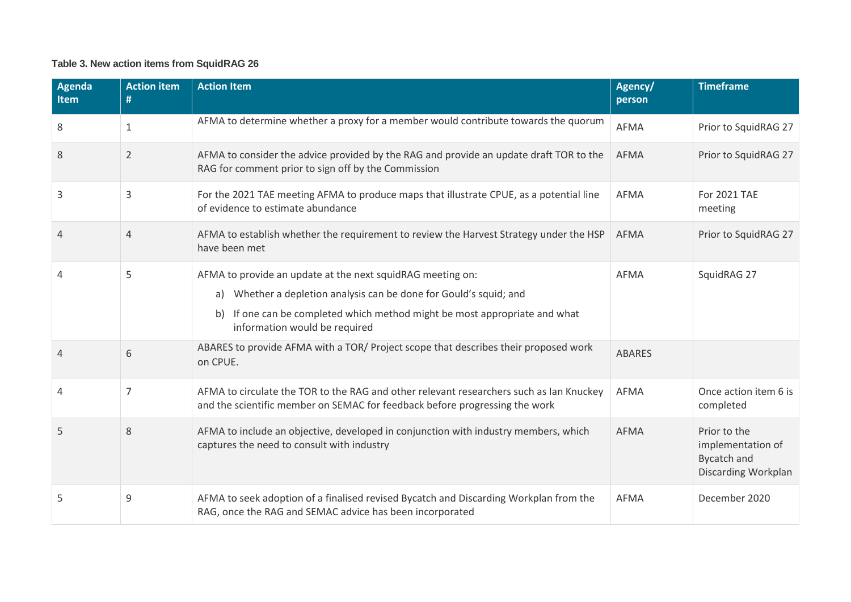### **Table 3. New action items from SquidRAG 26**

| <b>Agenda</b><br><b>Item</b> | <b>Action item</b><br># | <b>Action Item</b>                                                                                                                                                                                                                                 | Agency/<br>person | <b>Timeframe</b>                                                               |
|------------------------------|-------------------------|----------------------------------------------------------------------------------------------------------------------------------------------------------------------------------------------------------------------------------------------------|-------------------|--------------------------------------------------------------------------------|
| 8                            | 1                       | AFMA to determine whether a proxy for a member would contribute towards the quorum                                                                                                                                                                 | <b>AFMA</b>       | Prior to SquidRAG 27                                                           |
| 8                            | $\overline{2}$          | AFMA to consider the advice provided by the RAG and provide an update draft TOR to the<br>RAG for comment prior to sign off by the Commission                                                                                                      | <b>AFMA</b>       | Prior to SquidRAG 27                                                           |
| 3                            | 3                       | For the 2021 TAE meeting AFMA to produce maps that illustrate CPUE, as a potential line<br>of evidence to estimate abundance                                                                                                                       | <b>AFMA</b>       | For 2021 TAE<br>meeting                                                        |
| 4                            | 4                       | AFMA to establish whether the requirement to review the Harvest Strategy under the HSP<br>have been met                                                                                                                                            | <b>AFMA</b>       | Prior to SquidRAG 27                                                           |
| 4                            | 5                       | AFMA to provide an update at the next squidRAG meeting on:<br>a) Whether a depletion analysis can be done for Gould's squid; and<br>If one can be completed which method might be most appropriate and what<br>b)<br>information would be required | AFMA              | SquidRAG 27                                                                    |
| 4                            | 6                       | ABARES to provide AFMA with a TOR/ Project scope that describes their proposed work<br>on CPUE.                                                                                                                                                    | <b>ABARES</b>     |                                                                                |
| 4                            | 7                       | AFMA to circulate the TOR to the RAG and other relevant researchers such as Ian Knuckey<br>and the scientific member on SEMAC for feedback before progressing the work                                                                             | <b>AFMA</b>       | Once action item 6 is<br>completed                                             |
| 5                            | 8                       | AFMA to include an objective, developed in conjunction with industry members, which<br>captures the need to consult with industry                                                                                                                  | <b>AFMA</b>       | Prior to the<br>implementation of<br><b>Bycatch and</b><br>Discarding Workplan |
| 5                            | 9                       | AFMA to seek adoption of a finalised revised Bycatch and Discarding Workplan from the<br>RAG, once the RAG and SEMAC advice has been incorporated                                                                                                  | <b>AFMA</b>       | December 2020                                                                  |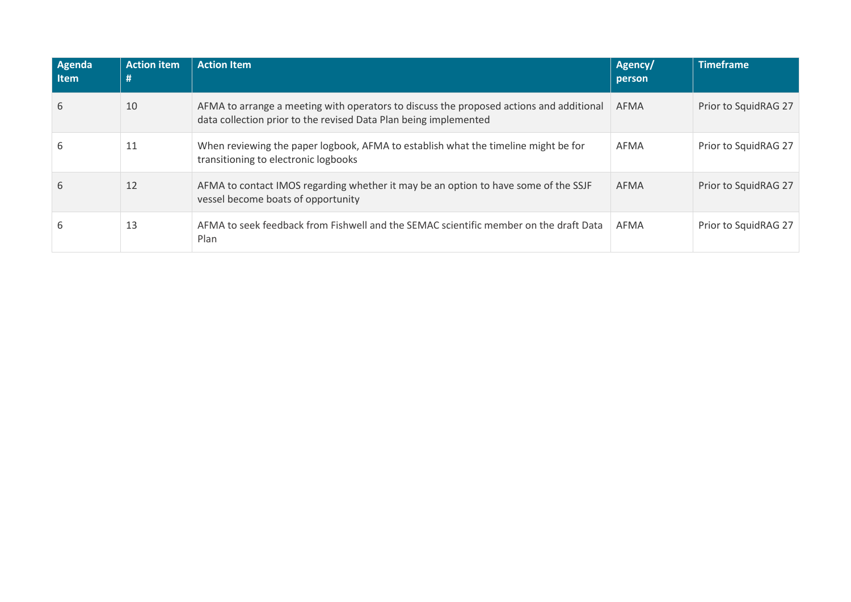| Agenda<br><b>Item</b> | <b>Action item</b><br># | <b>Action Item</b>                                                                                                                                          | Agency/<br>person | <b>Timeframe</b>     |
|-----------------------|-------------------------|-------------------------------------------------------------------------------------------------------------------------------------------------------------|-------------------|----------------------|
| 6                     | 10                      | AFMA to arrange a meeting with operators to discuss the proposed actions and additional<br>data collection prior to the revised Data Plan being implemented | <b>AFMA</b>       | Prior to SquidRAG 27 |
| 6                     | 11                      | When reviewing the paper logbook, AFMA to establish what the timeline might be for<br>transitioning to electronic logbooks                                  | AFMA              | Prior to SquidRAG 27 |
| 6                     | 12                      | AFMA to contact IMOS regarding whether it may be an option to have some of the SSJF<br>vessel become boats of opportunity                                   | <b>AFMA</b>       | Prior to SquidRAG 27 |
| 6                     | 13                      | AFMA to seek feedback from Fishwell and the SEMAC scientific member on the draft Data<br>Plan                                                               | AFMA              | Prior to SquidRAG 27 |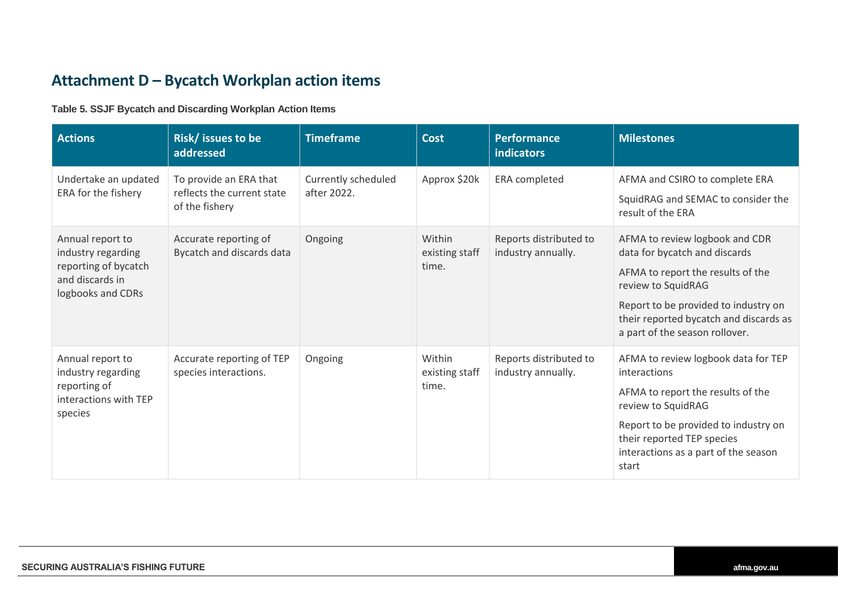## **Attachment D – Bycatch Workplan action items**

### **Table 5. SSJF Bycatch and Discarding Workplan Action Items**

<span id="page-22-0"></span>

| <b>Actions</b>                                                                                         | Risk/ issues to be<br>addressed                                        | <b>Timeframe</b>                   | <b>Cost</b>                       | <b>Performance</b><br>indicators             | <b>Milestones</b>                                                                                                                                                                                                                              |
|--------------------------------------------------------------------------------------------------------|------------------------------------------------------------------------|------------------------------------|-----------------------------------|----------------------------------------------|------------------------------------------------------------------------------------------------------------------------------------------------------------------------------------------------------------------------------------------------|
| Undertake an updated<br>ERA for the fishery                                                            | To provide an ERA that<br>reflects the current state<br>of the fishery | Currently scheduled<br>after 2022. | Approx \$20k                      | <b>ERA</b> completed                         | AFMA and CSIRO to complete ERA<br>SquidRAG and SEMAC to consider the<br>result of the ERA                                                                                                                                                      |
| Annual report to<br>industry regarding<br>reporting of bycatch<br>and discards in<br>logbooks and CDRs | Accurate reporting of<br>Bycatch and discards data                     | Ongoing                            | Within<br>existing staff<br>time. | Reports distributed to<br>industry annually. | AFMA to review logbook and CDR<br>data for bycatch and discards<br>AFMA to report the results of the<br>review to SquidRAG<br>Report to be provided to industry on<br>their reported bycatch and discards as<br>a part of the season rollover. |
| Annual report to<br>industry regarding<br>reporting of<br>interactions with TEP<br>species             | Accurate reporting of TEP<br>species interactions.                     | Ongoing                            | Within<br>existing staff<br>time. | Reports distributed to<br>industry annually. | AFMA to review logbook data for TEP<br>interactions<br>AFMA to report the results of the<br>review to SquidRAG<br>Report to be provided to industry on<br>their reported TEP species<br>interactions as a part of the season<br>start          |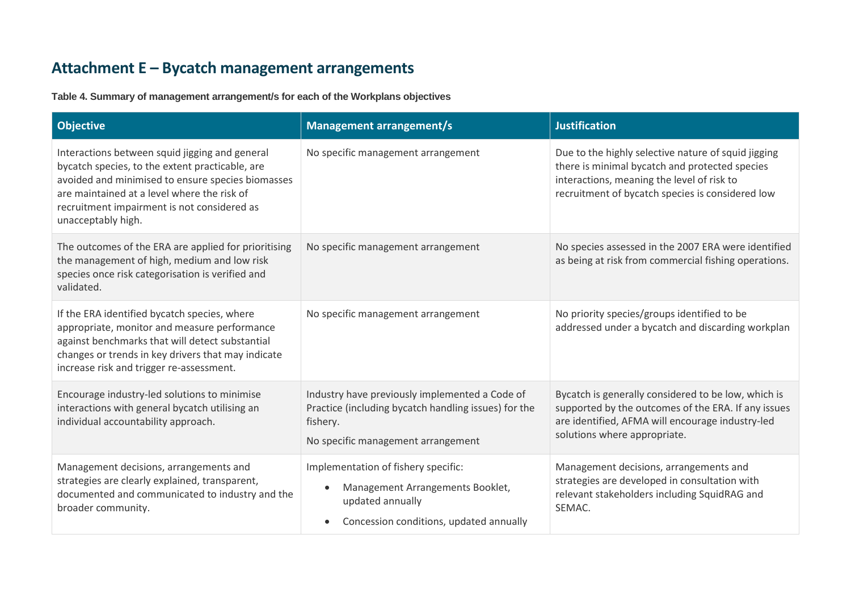# **Attachment E – Bycatch management arrangements**

**Table 4. Summary of management arrangement/s for each of the Workplans objectives**

<span id="page-23-0"></span>

| <b>Objective</b>                                                                                                                                                                                                                                                           | <b>Management arrangement/s</b>                                                                                                                                  | <b>Justification</b>                                                                                                                                                                                    |
|----------------------------------------------------------------------------------------------------------------------------------------------------------------------------------------------------------------------------------------------------------------------------|------------------------------------------------------------------------------------------------------------------------------------------------------------------|---------------------------------------------------------------------------------------------------------------------------------------------------------------------------------------------------------|
| Interactions between squid jigging and general<br>bycatch species, to the extent practicable, are<br>avoided and minimised to ensure species biomasses<br>are maintained at a level where the risk of<br>recruitment impairment is not considered as<br>unacceptably high. | No specific management arrangement                                                                                                                               | Due to the highly selective nature of squid jigging<br>there is minimal bycatch and protected species<br>interactions, meaning the level of risk to<br>recruitment of bycatch species is considered low |
| The outcomes of the ERA are applied for prioritising<br>the management of high, medium and low risk<br>species once risk categorisation is verified and<br>validated.                                                                                                      | No specific management arrangement                                                                                                                               | No species assessed in the 2007 ERA were identified<br>as being at risk from commercial fishing operations.                                                                                             |
| If the ERA identified bycatch species, where<br>appropriate, monitor and measure performance<br>against benchmarks that will detect substantial<br>changes or trends in key drivers that may indicate<br>increase risk and trigger re-assessment.                          | No specific management arrangement                                                                                                                               | No priority species/groups identified to be<br>addressed under a bycatch and discarding workplan                                                                                                        |
| Encourage industry-led solutions to minimise<br>interactions with general bycatch utilising an<br>individual accountability approach.                                                                                                                                      | Industry have previously implemented a Code of<br>Practice (including bycatch handling issues) for the<br>fishery.<br>No specific management arrangement         | Bycatch is generally considered to be low, which is<br>supported by the outcomes of the ERA. If any issues<br>are identified, AFMA will encourage industry-led<br>solutions where appropriate.          |
| Management decisions, arrangements and<br>strategies are clearly explained, transparent,<br>documented and communicated to industry and the<br>broader community.                                                                                                          | Implementation of fishery specific:<br>Management Arrangements Booklet,<br>$\bullet$<br>updated annually<br>Concession conditions, updated annually<br>$\bullet$ | Management decisions, arrangements and<br>strategies are developed in consultation with<br>relevant stakeholders including SquidRAG and<br>SEMAC.                                                       |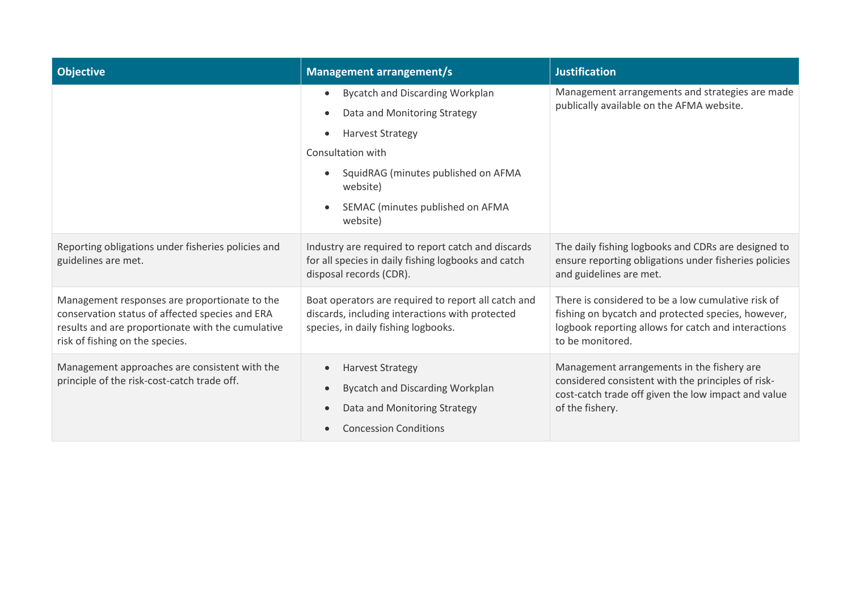| <b>Objective</b>                                                                                                                                                                         | <b>Management arrangement/s</b>                                                                                                                                                                                                                                                            | <b>Justification</b>                                                                                                                                                                |
|------------------------------------------------------------------------------------------------------------------------------------------------------------------------------------------|--------------------------------------------------------------------------------------------------------------------------------------------------------------------------------------------------------------------------------------------------------------------------------------------|-------------------------------------------------------------------------------------------------------------------------------------------------------------------------------------|
|                                                                                                                                                                                          | <b>Bycatch and Discarding Workplan</b><br>$\bullet$<br>Data and Monitoring Strategy<br>$\bullet$<br><b>Harvest Strategy</b><br>$\bullet$<br>Consultation with<br>SquidRAG (minutes published on AFMA<br>$\bullet$<br>website)<br>SEMAC (minutes published on AFMA<br>$\bullet$<br>website) | Management arrangements and strategies are made<br>publically available on the AFMA website.                                                                                        |
| Reporting obligations under fisheries policies and<br>guidelines are met.                                                                                                                | Industry are required to report catch and discards<br>for all species in daily fishing logbooks and catch<br>disposal records (CDR).                                                                                                                                                       | The daily fishing logbooks and CDRs are designed to<br>ensure reporting obligations under fisheries policies<br>and guidelines are met.                                             |
| Management responses are proportionate to the<br>conservation status of affected species and ERA<br>results and are proportionate with the cumulative<br>risk of fishing on the species. | Boat operators are required to report all catch and<br>discards, including interactions with protected<br>species, in daily fishing logbooks.                                                                                                                                              | There is considered to be a low cumulative risk of<br>fishing on bycatch and protected species, however,<br>logbook reporting allows for catch and interactions<br>to be monitored. |
| Management approaches are consistent with the<br>principle of the risk-cost-catch trade off.                                                                                             | <b>Harvest Strategy</b><br>$\bullet$<br><b>Bycatch and Discarding Workplan</b><br>$\bullet$<br>Data and Monitoring Strategy<br>$\bullet$<br><b>Concession Conditions</b><br>$\bullet$                                                                                                      | Management arrangements in the fishery are<br>considered consistent with the principles of risk-<br>cost-catch trade off given the low impact and value<br>of the fishery.          |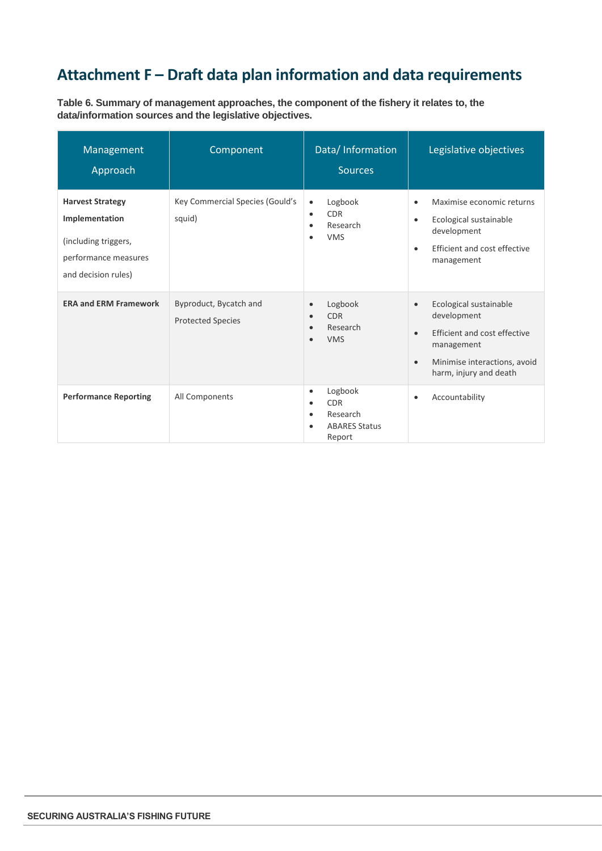# <span id="page-25-0"></span>**Attachment F – Draft data plan information and data requirements**

**Table 6. Summary of management approaches, the component of the fishery it relates to, the data/information sources and the legislative objectives.**

| Management<br>Approach                                                                                           | Component                                          | Data/ Information<br><b>Sources</b>                                                                        | Legislative objectives                                                                                                                                                               |
|------------------------------------------------------------------------------------------------------------------|----------------------------------------------------|------------------------------------------------------------------------------------------------------------|--------------------------------------------------------------------------------------------------------------------------------------------------------------------------------------|
| <b>Harvest Strategy</b><br>Implementation<br>(including triggers,<br>performance measures<br>and decision rules) | Key Commercial Species (Gould's<br>squid)          | Logbook<br>$\bullet$<br><b>CDR</b><br>$\bullet$<br>Research<br>٠<br><b>VMS</b><br>٠                        | Maximise economic returns<br>$\bullet$<br>Ecological sustainable<br>$\bullet$<br>development<br>Efficient and cost effective<br>$\bullet$<br>management                              |
| <b>ERA and ERM Framework</b>                                                                                     | Byproduct, Bycatch and<br><b>Protected Species</b> | Logbook<br>$\bullet$<br><b>CDR</b><br>$\bullet$<br>Research<br><b>VMS</b>                                  | Ecological sustainable<br>$\bullet$<br>development<br>Efficient and cost effective<br>$\bullet$<br>management<br>Minimise interactions, avoid<br>$\bullet$<br>harm, injury and death |
| <b>Performance Reporting</b>                                                                                     | All Components                                     | Logbook<br>$\bullet$<br><b>CDR</b><br>$\bullet$<br>Research<br>$\bullet$<br><b>ABARES Status</b><br>Report | Accountability<br>$\bullet$                                                                                                                                                          |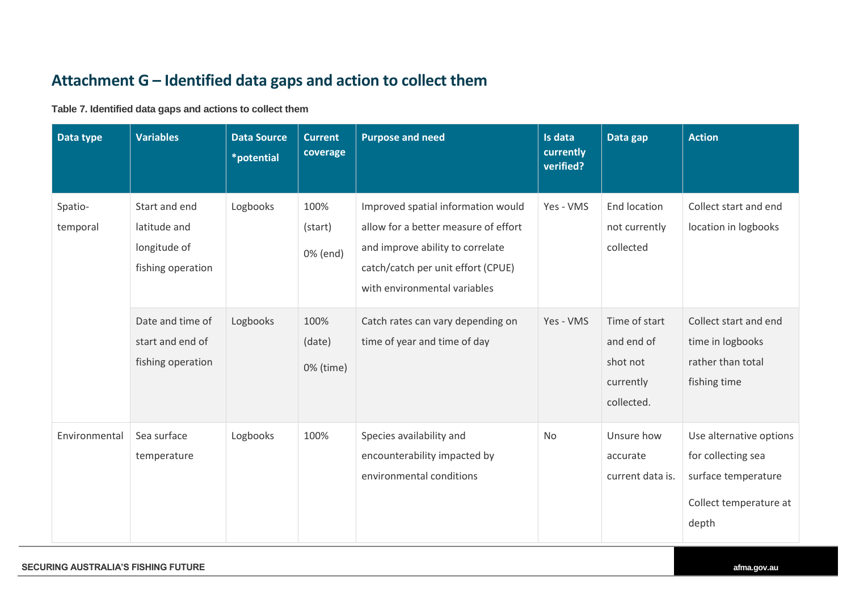# **Attachment G – Identified data gaps and action to collect them**

**Table 7. Identified data gaps and actions to collect them**

<span id="page-26-0"></span>

| Data type           | <b>Variables</b>                                                   | <b>Data Source</b><br>*potential | <b>Current</b><br>coverage  | <b>Purpose and need</b>                                                                                                                                                              | Is data<br>currently<br>verified? | Data gap                                                           | <b>Action</b>                                                                                           |
|---------------------|--------------------------------------------------------------------|----------------------------------|-----------------------------|--------------------------------------------------------------------------------------------------------------------------------------------------------------------------------------|-----------------------------------|--------------------------------------------------------------------|---------------------------------------------------------------------------------------------------------|
| Spatio-<br>temporal | Start and end<br>latitude and<br>longitude of<br>fishing operation | Logbooks                         | 100%<br>(start)<br>0% (end) | Improved spatial information would<br>allow for a better measure of effort<br>and improve ability to correlate<br>catch/catch per unit effort (CPUE)<br>with environmental variables | Yes - VMS                         | End location<br>not currently<br>collected                         | Collect start and end<br>location in logbooks                                                           |
|                     | Date and time of<br>start and end of<br>fishing operation          | Logbooks                         | 100%<br>(date)<br>0% (time) | Catch rates can vary depending on<br>time of year and time of day                                                                                                                    | Yes - VMS                         | Time of start<br>and end of<br>shot not<br>currently<br>collected. | Collect start and end<br>time in logbooks<br>rather than total<br>fishing time                          |
| Environmental       | Sea surface<br>temperature                                         | Logbooks                         | 100%                        | Species availability and<br>encounterability impacted by<br>environmental conditions                                                                                                 | No                                | Unsure how<br>accurate<br>current data is.                         | Use alternative options<br>for collecting sea<br>surface temperature<br>Collect temperature at<br>depth |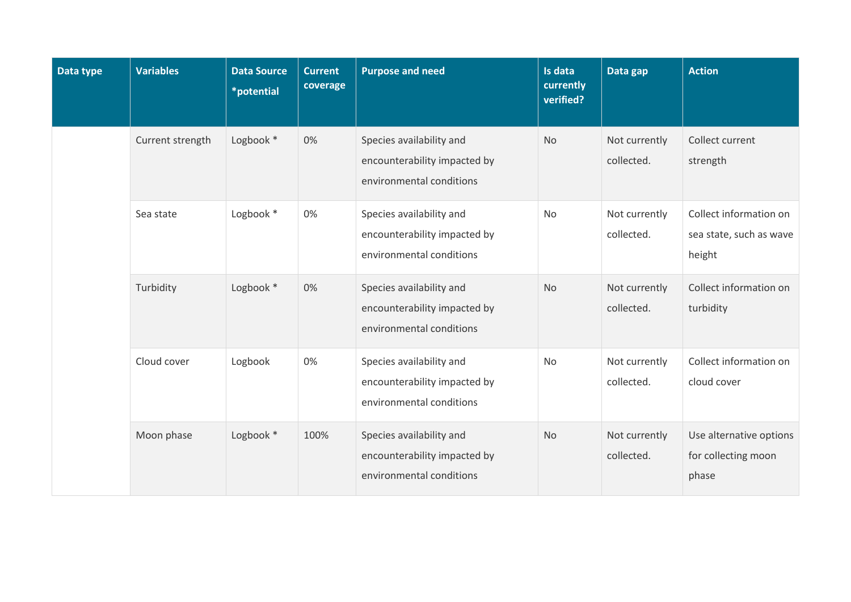| Data type | <b>Variables</b> | <b>Data Source</b><br>*potential | <b>Current</b><br>coverage | <b>Purpose and need</b>                                                              | Is data<br>currently<br>verified? | Data gap                    | <b>Action</b>                                               |
|-----------|------------------|----------------------------------|----------------------------|--------------------------------------------------------------------------------------|-----------------------------------|-----------------------------|-------------------------------------------------------------|
|           | Current strength | Logbook *                        | 0%                         | Species availability and<br>encounterability impacted by<br>environmental conditions | <b>No</b>                         | Not currently<br>collected. | Collect current<br>strength                                 |
|           | Sea state        | Logbook *                        | 0%                         | Species availability and<br>encounterability impacted by<br>environmental conditions | <b>No</b>                         | Not currently<br>collected. | Collect information on<br>sea state, such as wave<br>height |
|           | Turbidity        | Logbook *                        | 0%                         | Species availability and<br>encounterability impacted by<br>environmental conditions | <b>No</b>                         | Not currently<br>collected. | Collect information on<br>turbidity                         |
|           | Cloud cover      | Logbook                          | 0%                         | Species availability and<br>encounterability impacted by<br>environmental conditions | <b>No</b>                         | Not currently<br>collected. | Collect information on<br>cloud cover                       |
|           | Moon phase       | Logbook *                        | 100%                       | Species availability and<br>encounterability impacted by<br>environmental conditions | <b>No</b>                         | Not currently<br>collected. | Use alternative options<br>for collecting moon<br>phase     |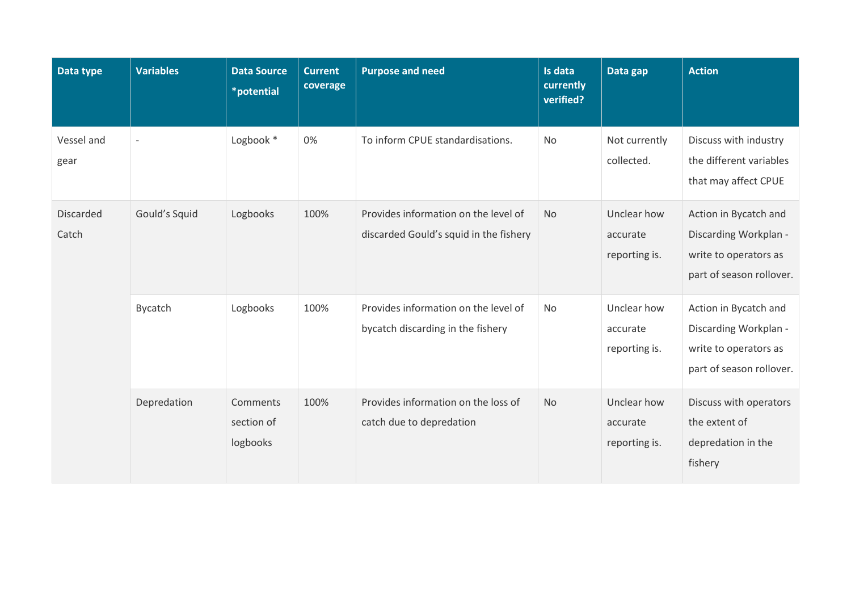| Data type                 | <b>Variables</b>         | <b>Data Source</b><br>*potential   | <b>Current</b><br>coverage | <b>Purpose and need</b>                                                        | Is data<br>currently<br>verified? | Data gap                                 | <b>Action</b>                                                                                       |
|---------------------------|--------------------------|------------------------------------|----------------------------|--------------------------------------------------------------------------------|-----------------------------------|------------------------------------------|-----------------------------------------------------------------------------------------------------|
| Vessel and<br>gear        | $\overline{\phantom{a}}$ | Logbook *                          | 0%                         | To inform CPUE standardisations.                                               | <b>No</b>                         | Not currently<br>collected.              | Discuss with industry<br>the different variables<br>that may affect CPUE                            |
| <b>Discarded</b><br>Catch | Gould's Squid            | Logbooks                           | 100%                       | Provides information on the level of<br>discarded Gould's squid in the fishery | <b>No</b>                         | Unclear how<br>accurate<br>reporting is. | Action in Bycatch and<br>Discarding Workplan -<br>write to operators as<br>part of season rollover. |
|                           | Bycatch                  | Logbooks                           | 100%                       | Provides information on the level of<br>bycatch discarding in the fishery      | No                                | Unclear how<br>accurate<br>reporting is. | Action in Bycatch and<br>Discarding Workplan -<br>write to operators as<br>part of season rollover. |
|                           | Depredation              | Comments<br>section of<br>logbooks | 100%                       | Provides information on the loss of<br>catch due to depredation                | No                                | Unclear how<br>accurate<br>reporting is. | Discuss with operators<br>the extent of<br>depredation in the<br>fishery                            |